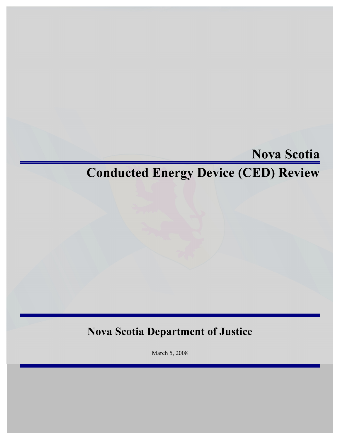# **Nova Scotia**

# **Conducted Energy Device (CED) Review**

# **Nova Scotia Department of Justice**

March 5, 2008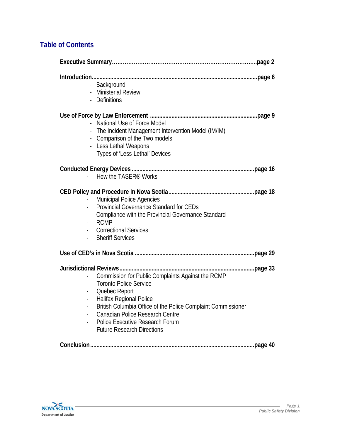# **Table of Contents**

| - Background<br>- Ministerial Review<br>- Definitions<br>- National Use of Force Model<br>- The Incident Management Intervention Model (IM/IM)<br>Comparison of the Two models<br>- Less Lethal Weapons<br>- Types of 'Less-Lethal' Devices<br>How the TASER <sup>®</sup> Works<br><b>Municipal Police Agencies</b><br><b>Provincial Governance Standard for CEDs</b><br>Compliance with the Provincial Governance Standard<br><b>RCMP</b><br><b>Correctional Services</b><br><b>Sheriff Services</b><br>Commission for Public Complaints Against the RCMP<br><b>Toronto Police Service</b><br>Quebec Report<br>$\blacksquare$<br>Halifax Regional Police<br>British Columbia Office of the Police Complaint Commissioner<br><b>Canadian Police Research Centre</b> |                                 |  |
|---------------------------------------------------------------------------------------------------------------------------------------------------------------------------------------------------------------------------------------------------------------------------------------------------------------------------------------------------------------------------------------------------------------------------------------------------------------------------------------------------------------------------------------------------------------------------------------------------------------------------------------------------------------------------------------------------------------------------------------------------------------------|---------------------------------|--|
|                                                                                                                                                                                                                                                                                                                                                                                                                                                                                                                                                                                                                                                                                                                                                                     |                                 |  |
|                                                                                                                                                                                                                                                                                                                                                                                                                                                                                                                                                                                                                                                                                                                                                                     |                                 |  |
|                                                                                                                                                                                                                                                                                                                                                                                                                                                                                                                                                                                                                                                                                                                                                                     |                                 |  |
|                                                                                                                                                                                                                                                                                                                                                                                                                                                                                                                                                                                                                                                                                                                                                                     |                                 |  |
|                                                                                                                                                                                                                                                                                                                                                                                                                                                                                                                                                                                                                                                                                                                                                                     |                                 |  |
| <b>Future Research Directions</b>                                                                                                                                                                                                                                                                                                                                                                                                                                                                                                                                                                                                                                                                                                                                   | Police Executive Research Forum |  |

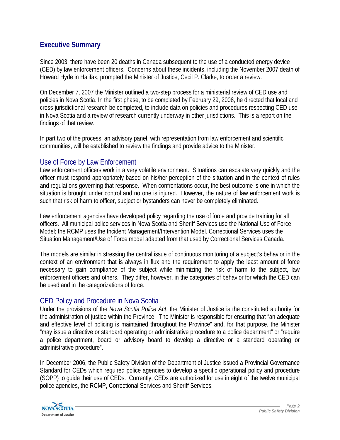# **Executive Summary**

Since 2003, there have been 20 deaths in Canada subsequent to the use of a conducted energy device (CED) by law enforcement officers. Concerns about these incidents, including the November 2007 death of Howard Hyde in Halifax, prompted the Minister of Justice, Cecil P. Clarke, to order a review.

On December 7, 2007 the Minister outlined a two-step process for a ministerial review of CED use and policies in Nova Scotia. In the first phase, to be completed by February 29, 2008, he directed that local and cross-jurisdictional research be completed, to include data on policies and procedures respecting CED use in Nova Scotia and a review of research currently underway in other jurisdictions. This is a report on the findings of that review.

In part two of the process, an advisory panel, with representation from law enforcement and scientific communities, will be established to review the findings and provide advice to the Minister.

# Use of Force by Law Enforcement

Law enforcement officers work in a very volatile environment. Situations can escalate very quickly and the officer must respond appropriately based on his/her perception of the situation and in the context of rules and regulations governing that response. When confrontations occur, the best outcome is one in which the situation is brought under control and no one is injured. However, the nature of law enforcement work is such that risk of harm to officer, subject or bystanders can never be completely eliminated.

Law enforcement agencies have developed policy regarding the use of force and provide training for all officers. All municipal police services in Nova Scotia and Sheriff Services use the National Use of Force Model; the RCMP uses the Incident Management/Intervention Model. Correctional Services uses the Situation Management/Use of Force model adapted from that used by Correctional Services Canada.

The models are similar in stressing the central issue of continuous monitoring of a subject's behavior in the context of an environment that is always in flux and the requirement to apply the least amount of force necessary to gain compliance of the subject while minimizing the risk of harm to the subject, law enforcement officers and others. They differ, however, in the categories of behavior for which the CED can be used and in the categorizations of force.

# CED Policy and Procedure in Nova Scotia

Under the provisions of the *Nova Scotia Police Act*, the Minister of Justice is the constituted authority for the administration of justice within the Province. The Minister is responsible for ensuring that "an adequate and effective level of policing is maintained throughout the Province" and, for that purpose, the Minister "may issue a directive or standard operating or administrative procedure to a police department" or "require a police department, board or advisory board to develop a directive or a standard operating or administrative procedure".

In December 2006, the Public Safety Division of the Department of Justice issued a Provincial Governance Standard for CEDs which required police agencies to develop a specific operational policy and procedure (SOPP) to guide their use of CEDs. Currently, CEDs are authorized for use in eight of the twelve municipal police agencies, the RCMP, Correctional Services and Sheriff Services.

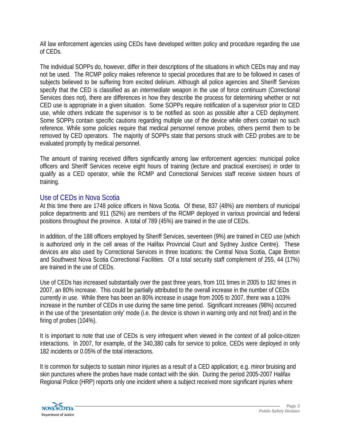All law enforcement agencies using CEDs have developed written policy and procedure regarding the use of CEDs.

The individual SOPPs do, however, differ in their descriptions of the situations in which CEDs may and may not be used. The RCMP policy makes reference to special procedures that are to be followed in cases of subjects believed to be suffering from excited delirium. Although all police agencies and Sheriff Services specify that the CED is classified as an *intermediate* weapon in the use of force continuum (Correctional Services does not), there are differences in how they describe the process for determining whether or not CED use is appropriate in a given situation. Some SOPPs require notification of a supervisor prior to CED use, while others indicate the supervisor is to be notified as soon as possible after a CED deployment. Some SOPPs contain specific cautions regarding multiple use of the device while others contain no such reference. While some policies require that medical personnel remove probes, others permit them to be removed by CED operators. The majority of SOPPs state that persons struck with CED probes are to be evaluated promptly by medical personnel.

The amount of training received differs significantly among law enforcement agencies: municipal police officers and Sheriff Services receive eight hours of training (lecture and practical exercises) in order to qualify as a CED operator, while the RCMP and Correctional Services staff receive sixteen hours of training.

# Use of CEDs in Nova Scotia

At this time there are 1748 police officers in Nova Scotia. Of these, 837 (48%) are members of municipal police departments and 911 (52%) are members of the RCMP deployed in various provincial and federal positions throughout the province. A total of 789 (45%) are trained in the use of CEDs.

In addition, of the 188 officers employed by Sheriff Services, seventeen (9%) are trained in CED use (which is authorized only in the cell areas of the Halifax Provincial Court and Sydney Justice Centre). These devices are also used by Correctional Services in three locations: the Central Nova Scotia, Cape Breton and Southwest Nova Scotia Correctional Facilities. Of a total security staff complement of 255, 44 (17%) are trained in the use of CEDs.

Use of CEDs has increased substantially over the past three years, from 101 times in 2005 to 182 times in 2007, an 80% increase. This could be partially attributed to the overall increase in the number of CEDs currently in use. While there has been an 80% increase in usage from 2005 to 2007, there was a 103% increase in the number of CEDs in use during the same time period. Significant increases (98%) occurred in the use of the 'presentation only' mode (i.e. the device is shown in warning only and not fired) and in the firing of probes (104%).

It is important to note that use of CEDs is very infrequent when viewed in the context of all police-citizen interactions. In 2007, for example, of the 340,380 calls for service to police, CEDs were deployed in only 182 incidents or 0.05% of the total interactions.

It is common for subjects to sustain minor injuries as a result of a CED application; e.g. minor bruising and skin punctures where the probes have made contact with the skin. During the period 2005-2007 Halifax Regional Police (HRP) reports only one incident where a subject received more significant injuries where

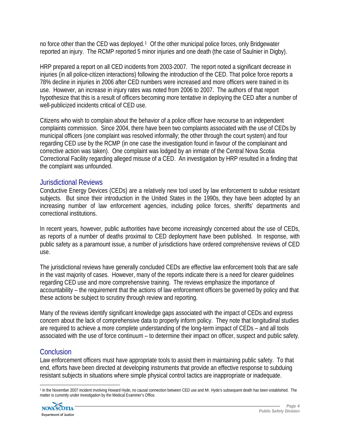no force other than the CED was deployed.<sup>[1](#page-4-0)</sup> Of the other municipal police forces, only Bridgewater reported an injury. The RCMP reported 5 minor injuries and one death (the case of Saulnier in Digby).

HRP prepared a report on all CED incidents from 2003-2007. The report noted a significant decrease in injuries (in all police-citizen interactions) following the introduction of the CED. That police force reports a 78% decline in injuries in 2006 after CED numbers were increased and more officers were trained in its use. However, an increase in injury rates was noted from 2006 to 2007. The authors of that report hypothesize that this is a result of officers becoming more tentative in deploying the CED after a number of well-publicized incidents critical of CED use.

Citizens who wish to complain about the behavior of a police officer have recourse to an independent complaints commission. Since 2004, there have been two complaints associated with the use of CEDs by municipal officers (one complaint was resolved informally; the other through the court system) and four regarding CED use by the RCMP (in one case the investigation found in favour of the complainant and corrective action was taken). One complaint was lodged by an inmate of the Central Nova Scotia Correctional Facility regarding alleged misuse of a CED. An investigation by HRP resulted in a finding that the complaint was unfounded.

### Jurisdictional Reviews

Conductive Energy Devices (CEDs) are a relatively new tool used by law enforcement to subdue resistant subjects. But since their introduction in the United States in the 1990s, they have been adopted by an increasing number of law enforcement agencies, including police forces, sheriffs' departments and correctional institutions.

In recent years, however, public authorities have become increasingly concerned about the use of CEDs, as reports of a number of deaths proximal to CED deployment have been published. In response, with public safety as a paramount issue, a number of jurisdictions have ordered comprehensive reviews of CED use.

The jurisdictional reviews have generally concluded CEDs are effective law enforcement tools that are safe in the vast majority of cases. However, many of the reports indicate there is a need for clearer guidelines regarding CED use and more comprehensive training. The reviews emphasize the importance of accountability – the requirement that the actions of law enforcement officers be governed by policy and that these actions be subject to scrutiny through review and reporting.

Many of the reviews identify significant knowledge gaps associated with the impact of CEDs and express concern about the lack of comprehensive data to properly inform policy. They note that longitudinal studies are required to achieve a more complete understanding of the long-term impact of CEDs – and all tools associated with the use of force continuum – to determine their impact on officer, suspect and public safety.

# **Conclusion**

Law enforcement officers must have appropriate tools to assist them in maintaining public safety. To that end, efforts have been directed at developing instruments that provide an effective response to subduing resistant subjects in situations where simple physical control tactics are inappropriate or inadequate.

<span id="page-4-0"></span> 1 In the November 2007 incident involving Howard Hyde, no causal connection between CED use and Mr. Hyde's subsequent death has been established. The matter is currently under investigation by the Medical Examiner's Office.

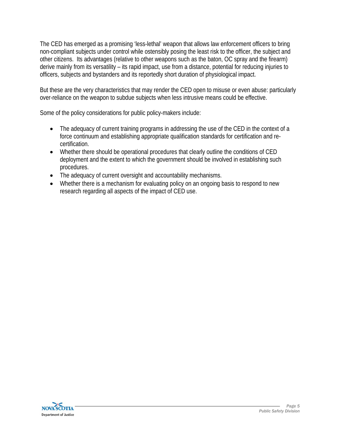The CED has emerged as a promising 'less-lethal' weapon that allows law enforcement officers to bring non-compliant subjects under control while ostensibly posing the least risk to the officer, the subject and other citizens. Its advantages (relative to other weapons such as the baton, OC spray and the firearm) derive mainly from its versatility – its rapid impact, use from a distance, potential for reducing injuries to officers, subjects and bystanders and its reportedly short duration of physiological impact.

But these are the very characteristics that may render the CED open to misuse or even abuse: particularly over-reliance on the weapon to subdue subjects when less intrusive means could be effective.

Some of the policy considerations for public policy-makers include:

- The adequacy of current training programs in addressing the use of the CED in the context of a force continuum and establishing appropriate qualification standards for certification and recertification.
- Whether there should be operational procedures that clearly outline the conditions of CED deployment and the extent to which the government should be involved in establishing such procedures.
- The adequacy of current oversight and accountability mechanisms.
- Whether there is a mechanism for evaluating policy on an ongoing basis to respond to new research regarding all aspects of the impact of CED use.

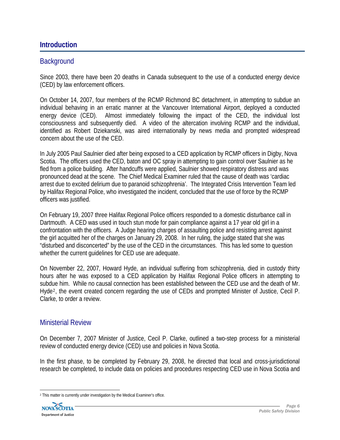### **Introduction**

### **Background**

Since 2003, there have been 20 deaths in Canada subsequent to the use of a conducted energy device (CED) by law enforcement officers.

On October 14, 2007, four members of the RCMP Richmond BC detachment, in attempting to subdue an individual behaving in an erratic manner at the Vancouver International Airport, deployed a conducted energy device (CED). Almost immediately following the impact of the CED, the individual lost consciousness and subsequently died. A video of the altercation involving RCMP and the individual, identified as Robert Dziekanski, was aired internationally by news media and prompted widespread concern about the use of the CED.

In July 2005 Paul Saulnier died after being exposed to a CED application by RCMP officers in Digby, Nova Scotia. The officers used the CED, baton and OC spray in attempting to gain control over Saulnier as he fled from a police building. After handcuffs were applied, Saulnier showed respiratory distress and was pronounced dead at the scene. The Chief Medical Examiner ruled that the cause of death was 'cardiac arrest due to excited delirium due to paranoid schizophrenia'. The Integrated Crisis Intervention Team led by Halifax Regional Police, who investigated the incident, concluded that the use of force by the RCMP officers was justified.

On February 19, 2007 three Halifax Regional Police officers responded to a domestic disturbance call in Dartmouth. A CED was used in touch stun mode for pain compliance against a 17 year old girl in a confrontation with the officers. A Judge hearing charges of assaulting police and resisting arrest against the girl acquitted her of the charges on January 29, 2008. In her ruling, the judge stated that she was "disturbed and disconcerted" by the use of the CED in the circumstances. This has led some to question whether the current guidelines for CED use are adequate.

On November 22, 2007, Howard Hyde, an individual suffering from schizophrenia, died in custody thirty hours after he was exposed to a CED application by Halifax Regional Police officers in attempting to subdue him. While no causal connection has been established between the CED use and the death of Mr. Hyde[2](#page-6-0), the event created concern regarding the use of CEDs and prompted Minister of Justice, Cecil P. Clarke, to order a review.

#### Ministerial Review

On December 7, 2007 Minister of Justice, Cecil P. Clarke, outlined a two-step process for a ministerial review of conducted energy device (CED) use and policies in Nova Scotia.

In the first phase, to be completed by February 29, 2008, he directed that local and cross-jurisdictional research be completed, to include data on policies and procedures respecting CED use in Nova Scotia and

<span id="page-6-0"></span> 2 This matter is currently under investigation by the Medical Examiner's office.

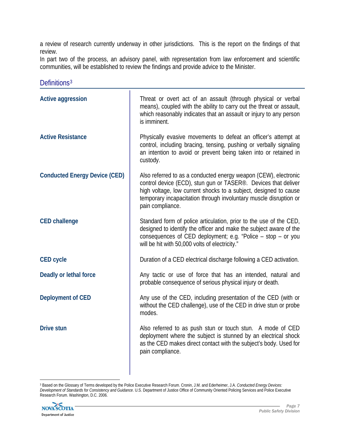a review of research currently underway in other jurisdictions. This is the report on the findings of that review.

In part two of the process, an advisory panel, with representation from law enforcement and scientific communities, will be established to review the findings and provide advice to the Minister.

| <b>Active aggression</b>             | Threat or overt act of an assault (through physical or verbal<br>means), coupled with the ability to carry out the threat or assault,<br>which reasonably indicates that an assault or injury to any person<br>is imminent.                                                                    |
|--------------------------------------|------------------------------------------------------------------------------------------------------------------------------------------------------------------------------------------------------------------------------------------------------------------------------------------------|
| <b>Active Resistance</b>             | Physically evasive movements to defeat an officer's attempt at<br>control, including bracing, tensing, pushing or verbally signaling<br>an intention to avoid or prevent being taken into or retained in<br>custody.                                                                           |
| <b>Conducted Energy Device (CED)</b> | Also referred to as a conducted energy weapon (CEW), electronic<br>control device (ECD), stun qun or TASER®. Devices that deliver<br>high voltage, low current shocks to a subject, designed to cause<br>temporary incapacitation through involuntary muscle disruption or<br>pain compliance. |
| <b>CED challenge</b>                 | Standard form of police articulation, prior to the use of the CED,<br>designed to identify the officer and make the subject aware of the<br>consequences of CED deployment; e.g. "Police – stop – or you<br>will be hit with 50,000 volts of electricity."                                     |
| <b>CED cycle</b>                     | Duration of a CED electrical discharge following a CED activation.                                                                                                                                                                                                                             |
| Deadly or lethal force               | Any tactic or use of force that has an intended, natural and<br>probable consequence of serious physical injury or death.                                                                                                                                                                      |
| <b>Deployment of CED</b>             | Any use of the CED, including presentation of the CED (with or<br>without the CED challenge), use of the CED in drive stun or probe<br>modes.                                                                                                                                                  |
| <b>Drive stun</b>                    | Also referred to as push stun or touch stun. A mode of CED<br>deployment where the subject is stunned by an electrical shock<br>as the CED makes direct contact with the subject's body. Used for<br>pain compliance.                                                                          |

Definitions<sup>[3](#page-7-0)</sup>

<span id="page-7-0"></span> $\overline{a}$ 3 Based on the Glossary of Terms developed by the Police Executive Research Forum. Cronin, J.M. and Ederheimer, J.A. *Conducted Energy Devices: Development of Standards for Consistency and Guidance*. U.S. Department of Justice Office of Community Oriented Policing Services and Police Executive Research Forum. Washington, D.C. 2006.

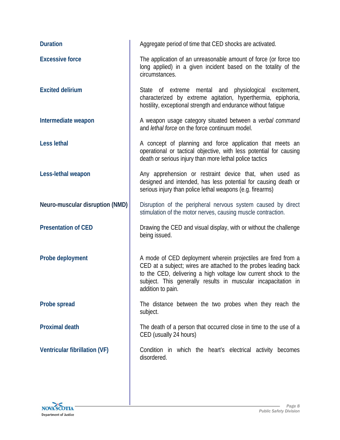| <b>Duration</b>                 | Aggregate period of time that CED shocks are activated.                                                                                                                                                                                                                                  |
|---------------------------------|------------------------------------------------------------------------------------------------------------------------------------------------------------------------------------------------------------------------------------------------------------------------------------------|
| <b>Excessive force</b>          | The application of an unreasonable amount of force (or force too<br>long applied) in a given incident based on the totality of the<br>circumstances.                                                                                                                                     |
| <b>Excited delirium</b>         | State of extreme mental and physiological excitement,<br>characterized by extreme agitation, hyperthermia, epiphoria,<br>hostility, exceptional strength and endurance without fatigue                                                                                                   |
| Intermediate weapon             | A weapon usage category situated between a verbal command<br>and <i>lethal force</i> on the force continuum model.                                                                                                                                                                       |
| <b>Less lethal</b>              | A concept of planning and force application that meets an<br>operational or tactical objective, with less potential for causing<br>death or serious injury than more lethal police tactics                                                                                               |
| Less-lethal weapon              | Any apprehension or restraint device that, when used as<br>designed and intended, has less potential for causing death or<br>serious injury than police lethal weapons (e.g. firearms)                                                                                                   |
| Neuro-muscular disruption (NMD) | Disruption of the peripheral nervous system caused by direct<br>stimulation of the motor nerves, causing muscle contraction.                                                                                                                                                             |
| <b>Presentation of CED</b>      | Drawing the CED and visual display, with or without the challenge<br>being issued.                                                                                                                                                                                                       |
| Probe deployment                | A mode of CED deployment wherein projectiles are fired from a<br>CED at a subject; wires are attached to the probes leading back<br>to the CED, delivering a high voltage low current shock to the<br>subject. This generally results in muscular incapacitation in<br>addition to pain. |
| Probe spread                    | The distance between the two probes when they reach the<br>subject.                                                                                                                                                                                                                      |
| <b>Proximal death</b>           | The death of a person that occurred close in time to the use of a<br>CED (usually 24 hours)                                                                                                                                                                                              |
| Ventricular fibrillation (VF)   | Condition in which the heart's electrical activity becomes<br>disordered.                                                                                                                                                                                                                |

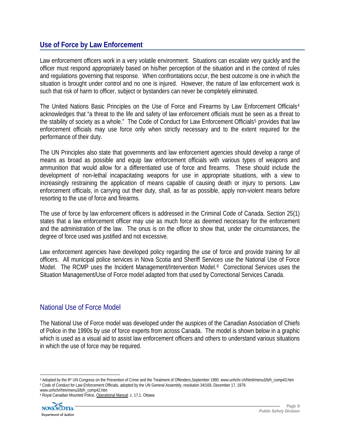# **Use of Force by Law Enforcement**

Law enforcement officers work in a very volatile environment. Situations can escalate very quickly and the officer must respond appropriately based on his/her perception of the situation and in the context of rules and regulations governing that response. When confrontations occur, the best outcome is one in which the situation is brought under control and no one is injured. However, the nature of law enforcement work is such that risk of harm to officer, subject or bystanders can never be completely eliminated.

The United Nations Basic Principles on the Use of Force and Firearms by Law Enforcement Officials<sup>[4](#page-9-0)</sup> acknowledges that "a threat to the life and safety of law enforcement officials must be seen as a threat to the stability of society as a whole." The Code of Conduct for Law Enforcement Officials<sup>[5](#page-9-1)</sup> provides that law enforcement officials may use force only when strictly necessary and to the extent required for the performance of their duty.

The UN Principles also state that governments and law enforcement agencies should develop a range of means as broad as possible and equip law enforcement officials with various types of weapons and ammunition that would allow for a differentiated use of force and firearms. These should include the development of non-lethal incapacitating weapons for use in appropriate situations, with a view to increasingly restraining the application of means capable of causing death or injury to persons. Law enforcement officials, in carrying out their duty, shall, as far as possible, apply non-violent means before resorting to the use of force and firearms.

The use of force by law enforcement officers is addressed in the Criminal Code of Canada. Section 25(1) states that a law enforcement officer may use as much force as deemed necessary for the enforcement and the administration of the law. The onus is on the officer to show that, under the circumstances, the degree of force used was justified and not excessive.

Law enforcement agencies have developed policy regarding the use of force and provide training for all officers. All municipal police services in Nova Scotia and Sheriff Services use the National Use of Force Model. The RCMP uses the Incident Management/Intervention Model.<sup>[6](#page-9-2)</sup> Correctional Services uses the Situation Management/Use of Force model adapted from that used by Correctional Services Canada.

# National Use of Force Model

The National Use of Force model was developed under the auspices of the Canadian Association of Chiefs of Police in the 1990s by use of force experts from across Canada. The model is shown below in a graphic which is used as a visual aid to assist law enforcement officers and others to understand various situations in which the use of force may be required.

<span id="page-9-1"></span><span id="page-9-0"></span><sup>4</sup> Adopted by the 8<sup>th</sup> UN Congress on the Prevention of Crime and the Treatment of Offenders,September 1990. www.unhchr.ch/html/menu3/b/h\_comp43.htm<br><sup>5</sup> Code of Conduct for Law Enforcement Officials, adopted by the UN Gene

<span id="page-9-2"></span>www.unhchr/htm/menu3/b/h\_comp42.htm 6 Royal Canadian Mounted Police, Operational Manual .c. 17.1. Ottawa

**Department of Justice**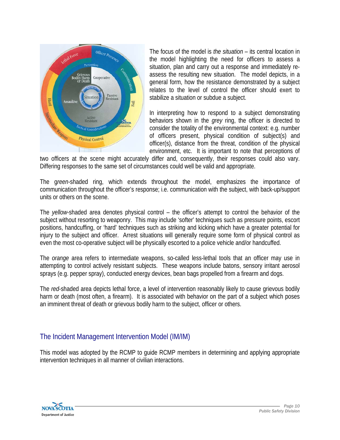

The focus of the model is *the situation* – its central location in the model highlighting the need for officers to assess a situation, plan and carry out a response and immediately reassess the resulting new situation. The model depicts, in a general form, how the resistance demonstrated by a subject relates to the level of control the officer should exert to stabilize a situation or subdue a subject.

In interpreting how to respond to a subject demonstrating behaviors shown in the *grey* ring, the officer is directed to consider the totality of the environmental context: e.g. number of officers present, physical condition of subject(s) and officer(s), distance from the threat, condition of the physical environment, etc. It is important to note that perceptions of

two officers at the scene might accurately differ and, consequently, their responses could also vary. Differing responses to the same set of circumstances could well be valid and appropriate.

The g*reen-*shaded ring, which extends throughout the model, emphasizes the importance of communication throughout the officer's response; i.e. communication with the subject, with back-up/support units or others on the scene.

The *yellow*-shaded area denotes physical control – the officer's attempt to control the behavior of the subject without resorting to weaponry. This may include 'softer' techniques such as pressure points, escort positions, handcuffing, or 'hard' techniques such as striking and kicking which have a greater potential for injury to the subject and officer. Arrest situations will generally require some form of physical control as even the most co-operative subject will be physically escorted to a police vehicle and/or handcuffed.

The *orange* area refers to intermediate weapons, so-called less-lethal tools that an officer may use in attempting to control actively resistant subjects. These weapons include batons, sensory irritant aerosol sprays (e.g. pepper spray), conducted energy devices, bean bags propelled from a firearm and dogs.

The *red*-shaded area depicts lethal force, a level of intervention reasonably likely to cause grievous bodily harm or death (most often, a firearm). It is associated with behavior on the part of a subject which poses an imminent threat of death or grievous bodily harm to the subject, officer or others.

# The Incident Management Intervention Model (IM/IM)

This model was adopted by the RCMP to guide RCMP members in determining and applying appropriate intervention techniques in all manner of civilian interactions.

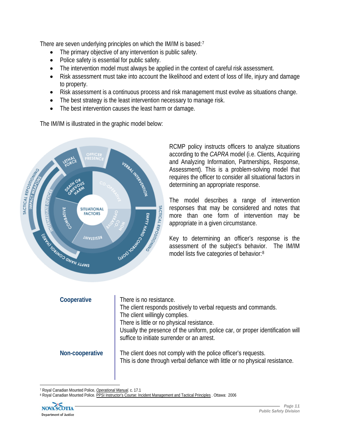There are seven underlying principles on which the IM/IM is based:<sup>[7](#page-11-0)</sup>

- The primary objective of any intervention is public safety.
- Police safety is essential for public safety.
- The intervention model must always be applied in the context of careful risk assessment.
- Risk assessment must take into account the likelihood and extent of loss of life, injury and damage to property.
- Risk assessment is a continuous process and risk management must evolve as situations change.
- The best strategy is the least intervention necessary to manage risk.
- The best intervention causes the least harm or damage.

The IM/IM is illustrated in the graphic model below:



RCMP policy instructs officers to analyze situations according to the *CAPRA* model (i.e. Clients, Acquiring and Analyzing Information, Partnerships, Response, Assessment). This is a problem-solving model that requires the officer to consider all situational factors in determining an appropriate response.

The model describes a range of intervention responses that may be considered and notes that more than one form of intervention may be appropriate in a given circumstance.

Key to determining an officer's response is the assessment of the subject's behavior. The IM/IM model lists five categories of behavior:[8](#page-11-1)

| Cooperative     | There is no resistance.<br>The client responds positively to verbal requests and commands.<br>The client willingly complies.<br>There is little or no physical resistance.<br>Usually the presence of the uniform, police car, or proper identification will<br>suffice to initiate surrender or an arrest. |
|-----------------|-------------------------------------------------------------------------------------------------------------------------------------------------------------------------------------------------------------------------------------------------------------------------------------------------------------|
| Non-cooperative | The client does not comply with the police officer's requests.<br>This is done through verbal defiance with little or no physical resistance.                                                                                                                                                               |

<span id="page-11-1"></span><span id="page-11-0"></span><sup>&</sup>lt;sup>7</sup> Royal Canadian Mounted Police, *<u>Operational Manual</u>.* c. 17.1<br><sup>8</sup> Royal Canadian Mounted Police. PPSI Instructor's Course: Incident Management and Tactical Principles . Ottawa: 2006

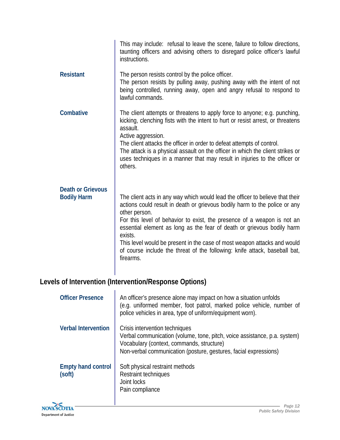|                                                | This may include: refusal to leave the scene, failure to follow directions,<br>taunting officers and advising others to disregard police officer's lawful<br>instructions.                                                                                                                                                                                                                                                                                                                                          |
|------------------------------------------------|---------------------------------------------------------------------------------------------------------------------------------------------------------------------------------------------------------------------------------------------------------------------------------------------------------------------------------------------------------------------------------------------------------------------------------------------------------------------------------------------------------------------|
| <b>Resistant</b>                               | The person resists control by the police officer.<br>The person resists by pulling away, pushing away with the intent of not<br>being controlled, running away, open and angry refusal to respond to<br>lawful commands.                                                                                                                                                                                                                                                                                            |
| Combative                                      | The client attempts or threatens to apply force to anyone; e.g. punching,<br>kicking, clenching fists with the intent to hurt or resist arrest, or threatens<br>assault.<br>Active aggression.<br>The client attacks the officer in order to defeat attempts of control.<br>The attack is a physical assault on the officer in which the client strikes or<br>uses techniques in a manner that may result in injuries to the officer or<br>others.                                                                  |
| <b>Death or Grievous</b><br><b>Bodily Harm</b> | The client acts in any way which would lead the officer to believe that their<br>actions could result in death or grievous bodily harm to the police or any<br>other person.<br>For this level of behavior to exist, the presence of a weapon is not an<br>essential element as long as the fear of death or grievous bodily harm<br>exists.<br>This level would be present in the case of most weapon attacks and would<br>of course include the threat of the following: knife attack, baseball bat,<br>firearms. |

# **Levels of Intervention (Intervention/Response Options)**

t.

| <b>Officer Presence</b>             | An officer's presence alone may impact on how a situation unfolds<br>(e.g. uniformed member, foot patrol, marked police vehicle, number of<br>police vehicles in area, type of uniform/equipment worn).                      |
|-------------------------------------|------------------------------------------------------------------------------------------------------------------------------------------------------------------------------------------------------------------------------|
| <b>Verbal Intervention</b>          | Crisis intervention techniques<br>Verbal communication (volume, tone, pitch, voice assistance, p.a. system)<br>Vocabulary (context, commands, structure)<br>Non-verbal communication (posture, gestures, facial expressions) |
| <b>Empty hand control</b><br>(soft) | Soft physical restraint methods<br>Restraint techniques<br>Joint locks<br>Pain compliance                                                                                                                                    |

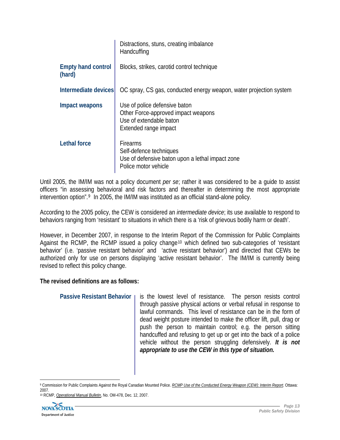|                                     | Distractions, stuns, creating imbalance<br>Handcuffing                                                                   |
|-------------------------------------|--------------------------------------------------------------------------------------------------------------------------|
| <b>Empty hand control</b><br>(hard) | Blocks, strikes, carotid control technique                                                                               |
| Intermediate devices                | OC spray, CS gas, conducted energy weapon, water projection system                                                       |
| Impact weapons                      | Use of police defensive baton<br>Other Force-approved impact weapons<br>Use of extendable baton<br>Extended range impact |
| <b>Lethal force</b>                 | <b>Firearms</b><br>Self-defence techniques<br>Use of defensive baton upon a lethal impact zone<br>Police motor vehicle   |

Until 2005, the IM/IM was not a policy document *per se*; rather it was considered to be a guide to assist officers "in assessing behavioral and risk factors and thereafter in determining the most appropriate intervention option".[9](#page-13-0) In 2005, the IM/IM was instituted as an official stand-alone policy.

According to the 2005 policy, the CEW is considered an *intermediate device*; its use available to respond to behaviors ranging from 'resistant' to situations in which there is a 'risk of grievous bodily harm or death'.

However, in December 2007, in response to the Interim Report of the Commission for Public Complaints Against the RCMP, the RCMP issued a policy change<sup>[10](#page-13-1)</sup> which defined two sub-categories of 'resistant behavior' (i.e. 'passive resistant behavior' and 'active resistant behavior') and directed that CEWs be authorized only for use on persons displaying 'active resistant behavior'. The IM/IM is currently being revised to reflect this policy change.

#### **The revised definitions are as follows:**

| Passive Resistant Behavior   is the lowest level of resistance. The person resists control |
|--------------------------------------------------------------------------------------------|
| through passive physical actions or verbal refusal in response to                          |
| lawful commands. This level of resistance can be in the form of                            |
| dead weight posture intended to make the officer lift, pull, drag or                       |
| push the person to maintain control; e.g. the person sitting                               |
| handcuffed and refusing to get up or get into the back of a police                         |
| vehicle without the person struggling defensively. It is not                               |
| appropriate to use the CEW in this type of situation.                                      |
|                                                                                            |

<span id="page-13-0"></span> $\overline{a}$ 9 Commission for Public Complaints Against the Royal Canadian Mounted Police. *RCMP Use of the Conducted Energy Weapon (CEW): Interim Report.* Ottawa: 2007.

<span id="page-13-1"></span><sup>10</sup> RCMP, *Operational Manual Bulletin*, No. OM-478, Dec. 12, 2007.

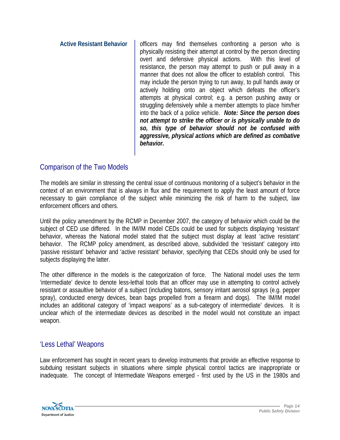**Active Resistant Behavior** | officers may find themselves confronting a person who is physically resisting their attempt at control by the person directing overt and defensive physical actions. With this level of resistance, the person may attempt to push or pull away in a manner that does not allow the officer to establish control. This may include the person trying to run away, to pull hands away or actively holding onto an object which defeats the officer's attempts at physical control; e.g. a person pushing away or struggling defensively while a member attempts to place him/her into the back of a police vehicle. *Note: Since the person does not attempt to strike the officer or is physically unable to do so, this type of behavior should not be confused with aggressive, physical actions which are defined as combative behavior.* 

# Comparison of the Two Models

The models are similar in stressing the central issue of continuous monitoring of a subject's behavior in the context of an environment that is always in flux and the requirement to apply the least amount of force necessary to gain compliance of the subject while minimizing the risk of harm to the subject, law enforcement officers and others.

Until the policy amendment by the RCMP in December 2007, the category of behavior which could be the subject of CED use differed. In the IM/IM model CEDs could be used for subjects displaying 'resistant' behavior, whereas the National model stated that the subject must display at least 'active resistant' behavior. The RCMP policy amendment, as described above, subdivided the 'resistant' category into 'passive resistant' behavior and 'active resistant' behavior, specifying that CEDs should only be used for subjects displaying the latter.

The other difference in the models is the categorization of force. The National model uses the term 'intermediate' device to denote less-lethal tools that an officer may use in attempting to control actively resistant or assaultive behavior of a subject (including batons, sensory irritant aerosol sprays (e.g. pepper spray), conducted energy devices, bean bags propelled from a firearm and dogs). The IM/IM model includes an additional category of 'impact weapons' as a sub-category of intermediate' devices. It is unclear which of the intermediate devices as described in the model would not constitute an impact weapon.

# 'Less Lethal' Weapons

Law enforcement has sought in recent years to develop instruments that provide an effective response to subduing resistant subjects in situations where simple physical control tactics are inappropriate or inadequate. The concept of Intermediate Weapons emerged - first used by the US in the 1980s and

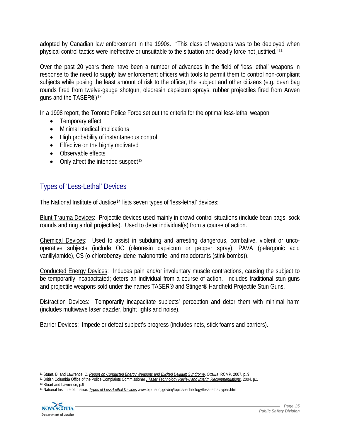adopted by Canadian law enforcement in the 1990s. "This class of weapons was to be deployed when physical control tactics were ineffective or unsuitable to the situation and deadly force not justified."[11](#page-15-0)

Over the past 20 years there have been a number of advances in the field of 'less lethal' weapons in response to the need to supply law enforcement officers with tools to permit them to control non-compliant subjects while posing the least amount of risk to the officer, the subject and other citizens (e.g. bean bag rounds fired from twelve-gauge shotgun, oleoresin capsicum sprays, rubber projectiles fired from Arwen guns and the TASER®)[12](#page-15-1)

In a 1998 report, the Toronto Police Force set out the criteria for the optimal less-lethal weapon:

- Temporary effect
- Minimal medical implications
- High probability of instantaneous control
- Effective on the highly motivated
- Observable effects
- Only affect the intended suspect<sup>[13](#page-15-2)</sup>

# Types of 'Less-Lethal' Devices

The National Institute of Justice<sup>[14](#page-15-3)</sup> lists seven types of 'less-lethal' devices:

Blunt Trauma Devices: Projectile devices used mainly in crowd-control situations (include bean bags, sock rounds and ring airfoil projectiles). Used to deter individual(s) from a course of action.

Chemical Devices: Used to assist in subduing and arresting dangerous, combative, violent or uncooperative subjects (include OC (oleoresin capsicum or pepper spray), PAVA (pelargonic acid vanillylamide), CS (o-chlorobenzylidene malonontrile, and malodorants (stink bombs)).

Conducted Energy Devices: Induces pain and/or involuntary muscle contractions, causing the subject to be temporarily incapacitated; deters an individual from a course of action. Includes traditional stun guns and projectile weapons sold under the names TASER® and Stinger® Handheld Projectile Stun Guns.

Distraction Devices: Temporarily incapacitate subjects' perception and deter them with minimal harm (includes multiwave laser dazzler, bright lights and noise).

Barrier Devices: Impede or defeat subject's progress (includes nets, stick foams and barriers).

<span id="page-15-3"></span><span id="page-15-2"></span><span id="page-15-1"></span><sup>14</sup> National Institute of Justice. *Types of Less-Lethal Devices* www.ojp.usdoj.gov/nij/topics/technology/less-lethal/types.htm



<span id="page-15-0"></span>

<sup>11</sup> Stuart, B. and Lawrence, C. <u>Report on Conducted Energy Weapons and Excited Delirium Syndrome</u>. Ottawa: RCMP. 2007. p..9<br><sup>12</sup> British Columbia Office of the Police Complaints Commissioner <u>. *Taser Technology Review and</u>*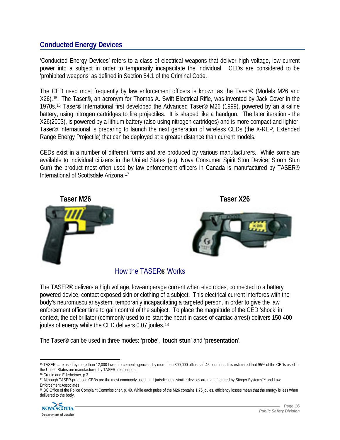# **Conducted Energy Devices**

'Conducted Energy Devices' refers to a class of electrical weapons that deliver high voltage, low current power into a subject in order to temporarily incapacitate the individual. CEDs are considered to be 'prohibited weapons' as defined in Section 84.1 of the Criminal Code.

The CED used most frequently by law enforcement officers is known as the Taser® (Models M26 and X26).[15](#page-16-0) The Taser®, an acronym for Thomas A. Swift Electrical Rifle, was invented by Jack Cover in the 1970s.[16](#page-16-1) Taser® International first developed the Advanced Taser® M26 (1999), powered by an alkaline battery, using nitrogen cartridges to fire projectiles. It is shaped like a handgun. The later iteration - the X26(2003), is powered by a lithium battery (also using nitrogen cartridges) and is more compact and lighter. Taser® International is preparing to launch the next generation of wireless CEDs (the X-REP, Extended Range Energy Projectile) that can be deployed at a greater distance than current models.

CEDs exist in a number of different forms and are produced by various manufacturers. While some are available to individual citizens in the United States (e.g. Nova Consumer Spirit Stun Device; Storm Stun Gun) the product most often used by law enforcement officers in Canada is manufactured by TASER<sup>®</sup> International of Scottsdale Arizona.[17](#page-16-2)

**Taser M26 Taser X26** 



# How the TASER® Works

The TASER<sup>®</sup> delivers a high voltage, low-amperage current when electrodes, connected to a battery powered device, contact exposed skin or clothing of a subject. This electrical current interferes with the body's neuromuscular system, temporarily incapacitating a targeted person, in order to give the law enforcement officer time to gain control of the subject. To place the magnitude of the CED 'shock' in context, the defibrillator (commonly used to re-start the heart in cases of cardiac arrest) delivers 150-400 joules of energy while the CED delivers 0.07 joules.<sup>[18](#page-16-3)</sup>

The Taser® can be used in three modes: '**probe**', '**touch stun**' and '**presentation**'.

<span id="page-16-3"></span><sup>&</sup>lt;sup>18</sup> BC Office of the Police Complaint Commissioner. p. 40. While each pulse of the M26 contains 1.76 joules, efficiency losses mean that the energy is less when delivered to the body.



<span id="page-16-0"></span> $\overline{a}$ 15 TASERs are used by more than 12,000 law enforcement agencies; by more than 300,000 officers in 45 countries. It is estimated that 95% of the CEDs used in the United States are manufactured by TASER International.<br><sup>16</sup> Cronin and Ederheimer. p.3

<span id="page-16-2"></span><span id="page-16-1"></span><sup>17</sup> Although TASER-produced CEDs are the most commonly used in all jurisdictions, similar devices are manufactured by Stinger Systems™ and Law Enforcement Associates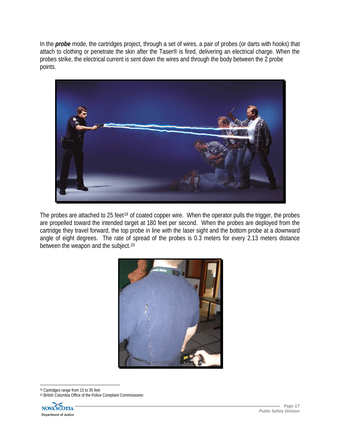In the *probe* mode, the cartridges project, through a set of wires, a pair of probes (or darts with hooks) that attach to clothing or penetrate the skin after the Taser® is fired, delivering an electrical charge. When the probes strike, the electrical current is sent down the wires and through the body between the 2 probe points.



The probes are attached to 25 feet<sup>[19](#page-17-0)</sup> of coated copper wire. When the operator pulls the trigger, the probes are propelled toward the intended target at 180 feet per second. When the probes are deployed from the cartridge they travel forward, the top probe in line with the laser sight and the bottom probe at a downward angle of eight degrees. The rate of spread of the probes is 0.3 meters for every 2.13 meters distance between the weapon and the subject.<sup>[20](#page-17-1)</sup>



<span id="page-17-0"></span>19 Cartridges range from 15 to 35 feet 20 British Columbia Office of the Police Complaint Commissioner.

<span id="page-17-1"></span>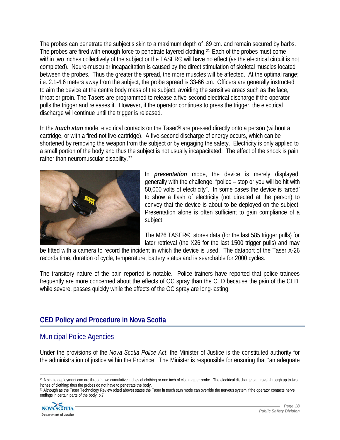The probes can penetrate the subject's skin to a maximum depth of .89 cm. and remain secured by barbs. The probes are fired with enough force to penetrate layered clothing.<sup>[21](#page-18-0)</sup> Each of the probes must come within two inches collectively of the subject or the TASER<sup>®</sup> will have no effect (as the electrical circuit is not completed). Neuro-muscular incapacitation is caused by the direct stimulation of skeletal muscles located between the probes. Thus the greater the spread, the more muscles will be affected. At the optimal range; i.e. 2.1-4.6 meters away from the subject, the probe spread is 33-66 cm. Officers are generally instructed to aim the device at the centre body mass of the subject, avoiding the sensitive areas such as the face, throat or groin. The Tasers are programmed to release a five-second electrical discharge if the operator pulls the trigger and releases it. However, if the operator continues to press the trigger, the electrical discharge will continue until the trigger is released.

In the *touch stun* mode, electrical contacts on the Taser® are pressed directly onto a person (without a cartridge, or with a fired-not live-cartridge). A five-second discharge of energy occurs, which can be shortened by removing the weapon from the subject or by engaging the safety. Electricity is only applied to a small portion of the body and thus the subject is not usually incapacitated. The effect of the shock is pain rather than neuromuscular disability.[22](#page-18-1)



In *presentation* mode, the device is merely displayed, generally with the challenge: "police – stop or you will be hit with 50,000 volts of electricity". In some cases the device is 'arced' to show a flash of electricity (not directed at the person) to convey that the device is about to be deployed on the subject. Presentation alone is often sufficient to gain compliance of a subject.

The M26 TASER® stores data (for the last 585 trigger pulls) for later retrieval (the X26 for the last 1500 trigger pulls) and may

be fitted with a camera to record the incident in which the device is used. The dataport of the Taser X-26 records time, duration of cycle, temperature, battery status and is searchable for 2000 cycles.

The transitory nature of the pain reported is notable. Police trainers have reported that police trainees frequently are more concerned about the effects of OC spray than the CED because the pain of the CED, while severe, passes quickly while the effects of the OC spray are long-lasting.

# **CED Policy and Procedure in Nova Scotia**

# Municipal Police Agencies

Under the provisions of the *Nova Scotia Police Act*, the Minister of Justice is the constituted authority for the administration of justice within the Province. The Minister is responsible for ensuring that "an adequate

<span id="page-18-1"></span><sup>&</sup>lt;sup>22</sup> Although as the Taser Technology Review (cited above) states the Taser in touch stun mode can override the nervous system if the operator contacts nerve endings in certain parts of the body. p.7



<span id="page-18-0"></span><sup>21</sup> A single deployment can arc through two cumulative inches of clothing or one inch of clothing per probe. The electrical discharge can travel through up to two inches of clothing; thus the probes do not have to penetrate the body.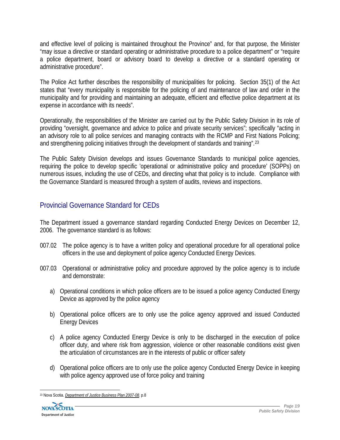and effective level of policing is maintained throughout the Province" and, for that purpose, the Minister "may issue a directive or standard operating or administrative procedure to a police department" or "require a police department, board or advisory board to develop a directive or a standard operating or administrative procedure".

The Police Act further describes the responsibility of municipalities for policing. Section 35(1) of the Act states that "every municipality is responsible for the policing of and maintenance of law and order in the municipality and for providing and maintaining an adequate, efficient and effective police department at its expense in accordance with its needs".

Operationally, the responsibilities of the Minister are carried out by the Public Safety Division in its role of providing "oversight, governance and advice to police and private security services"; specifically "acting in an advisory role to all police services and managing contracts with the RCMP and First Nations Policing; and strengthening policing initiatives through the development of standards and training".[23](#page-19-0)

The Public Safety Division develops and issues Governance Standards to municipal police agencies, requiring the police to develop specific 'operational or administrative policy and procedure' (SOPPs) on numerous issues, including the use of CEDs, and directing what that policy is to include. Compliance with the Governance Standard is measured through a system of audits, reviews and inspections.

# Provincial Governance Standard for CEDs

The Department issued a governance standard regarding Conducted Energy Devices on December 12, 2006. The governance standard is as follows:

- 007.02 The police agency is to have a written policy and operational procedure for all operational police officers in the use and deployment of police agency Conducted Energy Devices.
- 007.03 Operational or administrative policy and procedure approved by the police agency is to include and demonstrate:
	- a) Operational conditions in which police officers are to be issued a police agency Conducted Energy Device as approved by the police agency
	- b) Operational police officers are to only use the police agency approved and issued Conducted Energy Devices
	- c) A police agency Conducted Energy Device is only to be discharged in the execution of police officer duty, and where risk from aggression, violence or other reasonable conditions exist given the articulation of circumstances are in the interests of public or officer safety
	- d) Operational police officers are to only use the police agency Conducted Energy Device in keeping with police agency approved use of force policy and training

<span id="page-19-0"></span> 23 Nova Scotia. *Department of Justice Business Plan 2007-08*. p.8

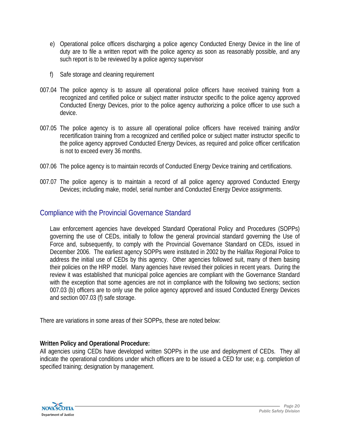- e) Operational police officers discharging a police agency Conducted Energy Device in the line of duty are to file a written report with the police agency as soon as reasonably possible, and any such report is to be reviewed by a police agency supervisor
- f) Safe storage and cleaning requirement
- 007.04 The police agency is to assure all operational police officers have received training from a recognized and certified police or subject matter instructor specific to the police agency approved Conducted Energy Devices, prior to the police agency authorizing a police officer to use such a device.
- 007.05 The police agency is to assure all operational police officers have received training and/or recertification training from a recognized and certified police or subject matter instructor specific to the police agency approved Conducted Energy Devices, as required and police officer certification is not to exceed every 36 months.
- 007.06 The police agency is to maintain records of Conducted Energy Device training and certifications.
- 007.07 The police agency is to maintain a record of all police agency approved Conducted Energy Devices; including make, model, serial number and Conducted Energy Device assignments.

# Compliance with the Provincial Governance Standard

Law enforcement agencies have developed Standard Operational Policy and Procedures (SOPPs) governing the use of CEDs, initially to follow the general provincial standard governing the Use of Force and, subsequently, to comply with the Provincial Governance Standard on CEDs, issued in December 2006. The earliest agency SOPPs were instituted in 2002 by the Halifax Regional Police to address the initial use of CEDs by this agency. Other agencies followed suit, many of them basing their policies on the HRP model. Many agencies have revised their policies in recent years. During the review it was established that municipal police agencies are compliant with the Governance Standard with the exception that some agencies are not in compliance with the following two sections; section 007.03 (b) officers are to only use the police agency approved and issued Conducted Energy Devices and section 007.03 (f) safe storage.

There are variations in some areas of their SOPPs, these are noted below:

#### **Written Policy and Operational Procedure:**

All agencies using CEDs have developed written SOPPs in the use and deployment of CEDs. They all indicate the operational conditions under which officers are to be issued a CED for use; e.g. completion of specified training; designation by management.

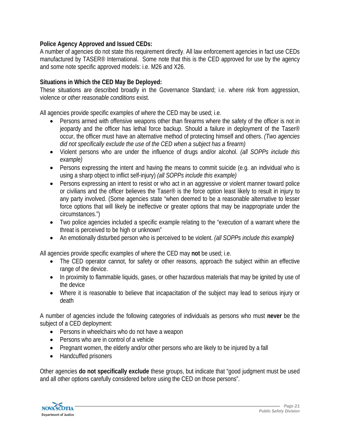#### **Police Agency Approved and Issued CEDs:**

A number of agencies do not state this requirement directly. All law enforcement agencies in fact use CEDs manufactured by TASER® International. Some note that this is the CED approved for use by the agency and some note specific approved models: i.e. M26 and X26.

#### **Situations in Which the CED May Be Deployed:**

These situations are described broadly in the Governance Standard; i.e. where risk from aggression, violence or *other reasonable conditions* exist.

All agencies provide specific examples of where the CED may be used; i.e.

- Persons armed with offensive weapons other than firearms where the safety of the officer is not in jeopardy and the officer has lethal force backup. Should a failure in deployment of the Taser® occur, the officer must have an alternative method of protecting himself and others. *(Two agencies did not specifically exclude the use of the CED when a subject has a firearm)*
- Violent persons who are under the influence of drugs and/or alcohol. *(all SOPPs include this example)*
- Persons expressing the intent and having the means to commit suicide (e.g. an individual who is using a sharp object to inflict self-injury) *(all SOPPs include this example)*
- Persons expressing an intent to resist or who act in an aggressive or violent manner toward police or civilians and the officer believes the Taser® is the force option least likely to result in injury to any party involved. (Some agencies state "when deemed to be a reasonable alternative to lesser force options that will likely be ineffective or greater options that may be inappropriate under the circumstances.")
- Two police agencies included a specific example relating to the "execution of a warrant where the threat is perceived to be high or unknown"
- An emotionally disturbed person who is perceived to be violent. *(all SOPPs include this example)*

All agencies provide specific examples of where the CED may **not** be used; i.e.

- The CED operator cannot, for safety or other reasons, approach the subject within an effective range of the device.
- In proximity to flammable liquids, gases, or other hazardous materials that may be ignited by use of the device
- Where it is reasonable to believe that incapacitation of the subject may lead to serious injury or death

A number of agencies include the following categories of individuals as persons who must **never** be the subject of a CED deployment:

- Persons in wheelchairs who do not have a weapon
- Persons who are in control of a vehicle
- Pregnant women, the elderly and/or other persons who are likely to be injured by a fall
- Handcuffed prisoners

Other agencies **do not specifically exclude** these groups, but indicate that "good judgment must be used and all other options carefully considered before using the CED on those persons".

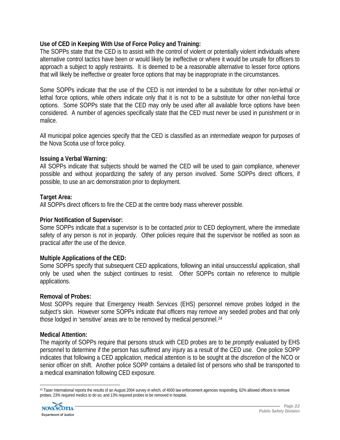#### **Use of CED in Keeping With Use of Force Policy and Training:**

The SOPPs state that the CED is to assist with the control of violent or potentially violent individuals where alternative control tactics have been or would likely be ineffective or where it would be unsafe for officers to approach a subject to apply restraints. It is deemed to be a reasonable alternative to lesser force options that will likely be ineffective or greater force options that may be inappropriate in the circumstances.

Some SOPPs indicate that the use of the CED is not intended to be a substitute for other non-lethal *or* lethal force options, while others indicate only that it is not to be a substitute for other non-lethal force options. Some SOPPs state that the CED may only be used after all available force options have been considered. A number of agencies specifically state that the CED must never be used in punishment or in malice.

All municipal police agencies specify that the CED is classified as an *intermediate weapon* for purposes of the Nova Scotia use of force policy.

#### **Issuing a Verbal Warning:**

All SOPPs indicate that subjects should be warned the CED will be used to gain compliance, whenever possible and without jeopardizing the safety of any person involved. Some SOPPs direct officers, if possible, to use an arc demonstration prior to deployment.

#### **Target Area:**

All SOPPs direct officers to fire the CED at the centre body mass wherever possible.

#### **Prior Notification of Supervisor:**

Some SOPPs indicate that a supervisor is to be contacted *prior* to CED deployment, where the immediate safety of any person is not in jeopardy. Other policies require that the supervisor be notified as soon as practical *after* the use of the device.

#### **Multiple Applications of the CED:**

Some SOPPs specify that subsequent CED applications, following an initial unsuccessful application, shall only be used when the subject continues to resist. Other SOPPs contain no reference to multiple applications.

#### **Removal of Probes:**

Most SOPPs require that Emergency Health Services (EHS) personnel remove probes lodged in the subject's skin. However some SOPPs indicate that officers may remove any seeded probes and that only those lodged in 'sensitive' areas are to be removed by medical personnel.[24](#page-22-0)

#### **Medical Attention:**

The majority of SOPPs require that persons struck with CED probes are to be *promptly* evaluated by EHS personnel to determine if the person has suffered any injury as a result of the CED use. One police SOPP indicates that following a CED application, medical attention is to be sought at the *discretion* of the NCO or senior officer on shift. Another police SOPP contains a detailed list of persons who shall be transported to a medical examination following CED exposure.

<span id="page-22-0"></span> <sup>24</sup> Taser International reports the results of an August 2004 survey in which, of 4000 law enforcement agencies responding, 62% allowed officers to remove probes; 23% required medics to do so; and 13% required probes to be removed in hospital.

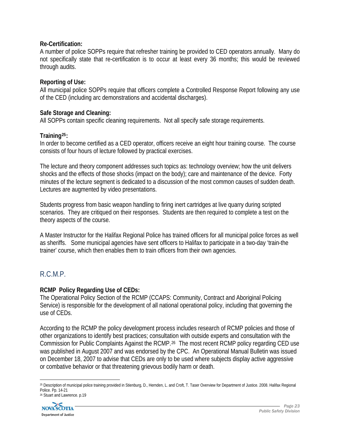#### **Re-Certification:**

A number of police SOPPs require that refresher training be provided to CED operators annually. Many do not specifically state that re-certification is to occur at least every 36 months; this would be reviewed through audits.

#### **Reporting of Use:**

All municipal police SOPPs require that officers complete a Controlled Response Report following any use of the CED (including arc demonstrations and accidental discharges).

#### **Safe Storage and Cleaning:**

All SOPPs contain specific cleaning requirements. Not all specify safe storage requirements.

#### **Training[25](#page-23-0):**

In order to become certified as a CED operator, officers receive an eight hour training course. The course consists of four hours of lecture followed by practical exercises.

The lecture and theory component addresses such topics as: technology overview; how the unit delivers shocks and the effects of those shocks (impact on the body); care and maintenance of the device. Forty minutes of the lecture segment is dedicated to a discussion of the most common causes of sudden death. Lectures are augmented by video presentations.

Students progress from basic weapon handling to firing inert cartridges at live quarry during scripted scenarios. They are critiqued on their responses. Students are then required to complete a test on the theory aspects of the course.

A Master Instructor for the Halifax Regional Police has trained officers for all municipal police forces as well as sheriffs. Some municipal agencies have sent officers to Halifax to participate in a two-day 'train-the trainer' course, which then enables them to train officers from their own agencies.

# R.C.M.P.

#### **RCMP Policy Regarding Use of CEDs:**

The Operational Policy Section of the RCMP (CCAPS: Community, Contract and Aboriginal Policing Service) is responsible for the development of all national operational policy, including that governing the use of CEDs.

According to the RCMP the policy development process includes research of RCMP policies and those of other organizations to identify best practices; consultation with outside experts and consultation with the Commission for Public Complaints Against the RCMP.[26](#page-23-1) The most recent RCMP policy regarding CED use was published in August 2007 and was endorsed by the CPC. An Operational Manual Bulletin was issued on December 18, 2007 to advise that CEDs are only to be used where subjects display active aggressive or combative behavior or that threatening grievous bodily harm or death.

<span id="page-23-1"></span><span id="page-23-0"></span><sup>25</sup> Description of municipal police training provided in Stienburg, D., Hernden, L. and Croft, T. Taser Overview for Department of Justice. 2008. Halifax Regional Police. Pp. 14-21 26 Stuart and Lawrence. p.19



 $\overline{a}$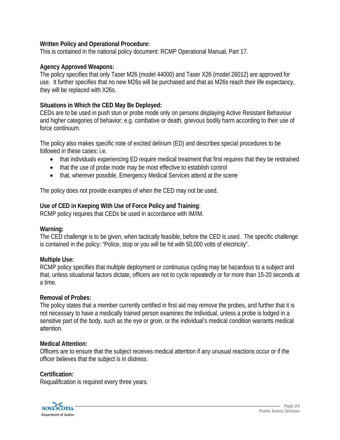#### **Written Policy and Operational Procedure:**

This is contained in the national policy document: RCMP Operational Manual, Part 17.

#### **Agency Approved Weapons:**

The policy specifies that only Taser M26 (model 44000) and Taser X26 (model 26012) are approved for use. It further specifies that no new M26s will be purchased and that as M26s reach their life expectancy, they will be replaced with X26s.

#### **Situations in Which the CED May Be Deployed:**

CEDs are to be used in push stun or probe mode only on persons displaying Active Resistant Behaviour and higher categories of behavior; e.g. combative or death, grievous bodily harm according to their use of force continuum.

The policy also makes specific note of excited delirium (ED) and describes special procedures to be followed in these cases: i.e.

- that individuals experiencing ED require medical treatment that first requires that they be restrained
- that the use of probe mode may be most effective to establish control
- that, wherever possible, Emergency Medical Services attend at the scene

The policy does not provide examples of when the CED may not be used.

#### **Use of CED in Keeping With Use of Force Policy and Training**:

RCMP policy requires that CEDs be used in accordance with IM/IM.

#### **Warning:**

The CED challenge is to be given, when tactically feasible, before the CED is used. The specific challenge is contained in the policy: "Police, stop or you will be hit with 50,000 volts of electricity".

#### **Multiple Use:**

RCMP policy specifies that multiple deployment or continuous cycling may be hazardous to a subject and that, unless situational factors dictate, officers are not to cycle repeatedly or for more than 15-20 seconds at a time.

#### **Removal of Probes:**

The policy states that a member currently certified in first aid may remove the probes, and further that it is not necessary to have a medically trained person examines the individual, unless a probe is lodged in a sensitive part of the body, such as the eye or groin, or the individual's medical condition warrants medical attention.

#### **Medical Attention:**

Officers are to ensure that the subject receives medical attention if any unusual reactions occur or if the officer believes that the subject is in distress.

#### **Certification:**

Requalification is required every three years.

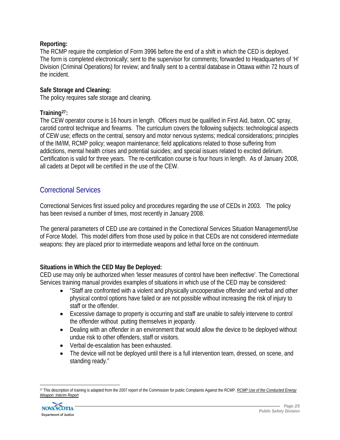#### **Reporting:**

The RCMP require the completion of Form 3996 before the end of a shift in which the CED is deployed. The form is completed electronically; sent to the supervisor for comments; forwarded to Headquarters of 'H' Division (Criminal Operations) for review; and finally sent to a central database in Ottawa within 72 hours of the incident.

#### **Safe Storage and Cleaning:**

The policy requires safe storage and cleaning.

#### **Training[27](#page-25-0):**

The CEW operator course is 16 hours in length. Officers must be qualified in First Aid, baton, OC spray, carotid control technique and firearms. The curriculum covers the following subjects: technological aspects of CEW use; effects on the central, sensory and motor nervous systems; medical considerations; principles of the IM/IM, RCMP policy; weapon maintenance; field applications related to those suffering from addictions, mental health crises and potential suicides; and special issues related to excited delirium. Certification is valid for three years. The re-certification course is four hours in length. As of January 2008, all cadets at Depot will be certified in the use of the CEW.

# Correctional Services

Correctional Services first issued policy and procedures regarding the use of CEDs in 2003. The policy has been revised a number of times, most recently in January 2008.

The general parameters of CED use are contained in the Correctional Services Situation Management/Use of Force Model. This model differs from those used by police in that CEDs are not considered intermediate weapons: they are placed prior to intermediate weapons and lethal force on the continuum.

#### **Situations in Which the CED May Be Deployed:**

CED use may only be authorized when 'lesser measures of control have been ineffective'. The Correctional Services training manual provides examples of situations in which use of the CED may be considered:

- "Staff are confronted with a violent and physically uncooperative offender and verbal and other physical control options have failed or are not possible without increasing the risk of injury to staff or the offender.
- Excessive damage to property is occurring and staff are unable to safely intervene to control the offender without putting themselves in jeopardy.
- Dealing with an offender in an environment that would allow the device to be deployed without undue risk to other offenders, staff or visitors.
- Verbal de-escalation has been exhausted.
- The device will not be deployed until there is a full intervention team, dressed, on scene, and standing ready."

<span id="page-25-0"></span> 27 This description of training is adapted from the 2007 report of the Commission for public Complaints Against the RCMP. *RCMP Use of the Conducted Energy Weapon: Interim Report*

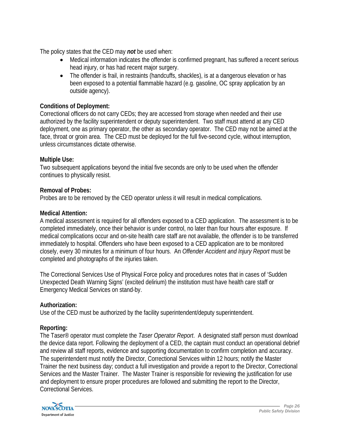The policy states that the CED may *not* be used when:

- Medical information indicates the offender is confirmed pregnant, has suffered a recent serious head injury, or has had recent major surgery.
- The offender is frail, in restraints (handcuffs, shackles), is at a dangerous elevation or has been exposed to a potential flammable hazard (e.g. gasoline, OC spray application by an outside agency).

#### **Conditions of Deployment:**

Correctional officers do not carry CEDs; they are accessed from storage when needed and their use authorized by the facility superintendent or deputy superintendent. Two staff must attend at any CED deployment, one as primary operator, the other as secondary operator. The CED may not be aimed at the face, throat or groin area. The CED must be deployed for the full five-second cycle, without interruption, unless circumstances dictate otherwise.

#### **Multiple Use:**

Two subsequent applications beyond the initial five seconds are only to be used when the offender continues to physically resist.

#### **Removal of Probes:**

Probes are to be removed by the CED operator unless it will result in medical complications.

#### **Medical Attention:**

A medical assessment is required for all offenders exposed to a CED application. The assessment is to be completed immediately, once their behavior is under control, no later than four hours after exposure. If medical complications occur and on-site health care staff are not available, the offender is to be transferred immediately to hospital. Offenders who have been exposed to a CED application are to be monitored closely, every 30 minutes for a minimum of four hours. An *Offender Accident and Injury Report* must be completed and photographs of the injuries taken.

The Correctional Services Use of Physical Force policy and procedures notes that in cases of 'Sudden Unexpected Death Warning Signs' (excited delirium) the institution must have health care staff or Emergency Medical Services on stand-by.

#### **Authorization:**

Use of the CED must be authorized by the facility superintendent/deputy superintendent.

#### **Reporting:**

The Taser® operator must complete the *Taser Operator Report*. A designated staff person must download the device data report. Following the deployment of a CED, the captain must conduct an operational debrief and review all staff reports, evidence and supporting documentation to confirm completion and accuracy. The superintendent must notify the Director, Correctional Services within 12 hours; notify the Master Trainer the next business day; conduct a full investigation and provide a report to the Director, Correctional Services and the Master Trainer. The Master Trainer is responsible for reviewing the justification for use and deployment to ensure proper procedures are followed and submitting the report to the Director, Correctional Services.

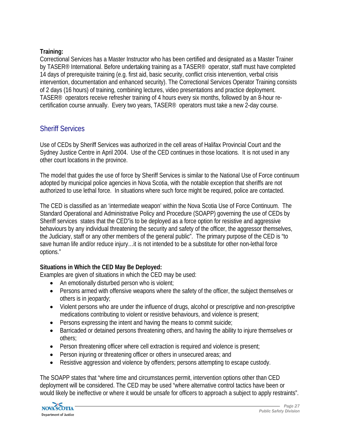#### **Training:**

Correctional Services has a Master Instructor who has been certified and designated as a Master Trainer by TASER<sup>®</sup> International. Before undertaking training as a TASER<sup>®</sup> operator, staff must have completed 14 days of prerequisite training (e.g. first aid, basic security, conflict crisis intervention, verbal crisis intervention, documentation and enhanced security). The Correctional Services Operator Training consists of 2 days (16 hours) of training, combining lectures, video presentations and practice deployment. TASER® operators receive refresher training of 4 hours every six months, followed by an 8-hour recertification course annually. Every two years, TASER® operators must take a new 2-day course.

# Sheriff Services

Use of CEDs by Sheriff Services was authorized in the cell areas of Halifax Provincial Court and the Sydney Justice Centre in April 2004. Use of the CED continues in those locations. It is not used in any other court locations in the province.

The model that guides the use of force by Sheriff Services is similar to the National Use of Force continuum adopted by municipal police agencies in Nova Scotia, with the notable exception that sheriffs are not authorized to use lethal force. In situations where such force might be required, police are contacted.

The CED is classified as an 'intermediate weapon' within the Nova Scotia Use of Force Continuum. The Standard Operational and Administrative Policy and Procedure (SOAPP) governing the use of CEDs by Sheriff services states that the CED"is to be deployed as a force option for resistive and aggressive behaviours by any individual threatening the security and safety of the officer, the aggressor themselves, the Judiciary, staff or any other members of the general public". The primary purpose of the CED is "to save human life and/or reduce injury…it is not intended to be a substitute for other non-lethal force options."

# **Situations in Which the CED May Be Deployed:**

Examples are given of situations in which the CED may be used:

- An emotionally disturbed person who is violent;
- Persons armed with offensive weapons where the safety of the officer, the subject themselves or others is in jeopardy;
- Violent persons who are under the influence of drugs, alcohol or prescriptive and non-prescriptive medications contributing to violent or resistive behaviours, and violence is present;
- Persons expressing the intent and having the means to commit suicide;
- Barricaded or detained persons threatening others, and having the ability to injure themselves or others;
- Person threatening officer where cell extraction is required and violence is present;
- Person injuring or threatening officer or others in unsecured areas; and
- Resistive aggression and violence by offenders; persons attempting to escape custody.

The SOAPP states that "where time and circumstances permit, intervention options other than CED deployment will be considered. The CED may be used "where alternative control tactics have been or would likely be ineffective or where it would be unsafe for officers to approach a subject to apply restraints".

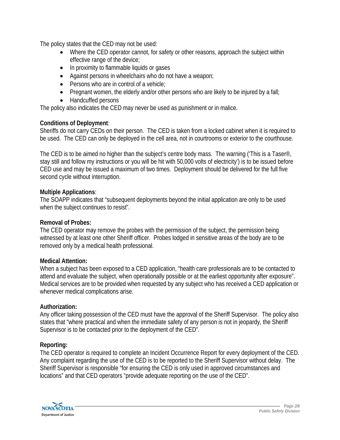The policy states that the CED may not be used:

- Where the CED operator cannot, for safety or other reasons, approach the subject within effective range of the device;
- In proximity to flammable liquids or gases
- Against persons in wheelchairs who do not have a weapon;
- Persons who are in control of a vehicle;
- Pregnant women, the elderly and/or other persons who are likely to be injured by a fall;
- Handcuffed persons

The policy also indicates the CED may never be used as punishment or in malice.

### **Conditions of Deployment**:

Sheriffs do not carry CEDs on their person. The CED is taken from a locked cabinet when it is required to be used. The CED can only be deployed in the cell area, not in courtrooms or exterior to the courthouse.

The CED is to be aimed no higher than the subject's centre body mass. The warning ('This is a Taser®, stay still and follow my instructions or you will be hit with 50,000 volts of electricity') is to be issued before CED use and may be issued a maximum of two times. Deployment should be delivered for the full five second cycle without interruption.

#### **Multiple Applications**:

The SOAPP indicates that "subsequent deployments beyond the initial application are only to be used when the subject continues to resist".

#### **Removal of Probes:**

The CED operator may remove the probes with the permission of the subject, the permission being witnessed by at least one other Sheriff officer. Probes lodged in sensitive areas of the body are to be removed only by a medical health professional.

#### **Medical Attention:**

When a subject has been exposed to a CED application, "health care professionals are to be contacted to attend and evaluate the subject, when operationally possible or at the earliest opportunity after exposure". Medical services are to be provided when requested by any subject who has received a CED application or whenever medical complications arise.

#### **Authorization:**

Any officer taking possession of the CED must have the approval of the Sheriff Supervisor. The policy also states that "where practical and when the immediate safety of any person is not in jeopardy, the Sheriff Supervisor is to be contacted prior to the deployment of the CED".

# **Reporting:**

The CED operator is required to complete an Incident Occurrence Report for every deployment of the CED. Any complaint regarding the use of the CED is to be reported to the Sheriff Supervisor without delay. The Sheriff Supervisor is responsible "for ensuring the CED is only used in approved circumstances and locations" and that CED operators "provide adequate reporting on the use of the CED".

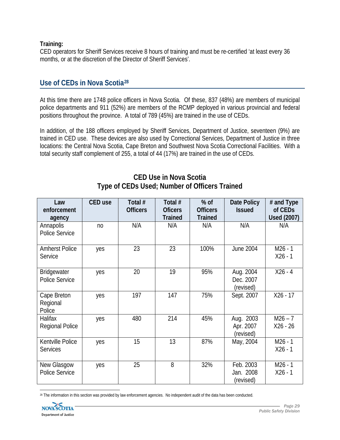#### **Training:**

CED operators for Sheriff Services receive 8 hours of training and must be re-certified 'at least every 36 months, or at the discretion of the Director of Sheriff Services'.

# **Use of CEDs in Nova Scotia[28](#page-29-0)**

At this time there are 1748 police officers in Nova Scotia. Of these, 837 (48%) are members of municipal police departments and 911 (52%) are members of the RCMP deployed in various provincial and federal positions throughout the province. A total of 789 (45%) are trained in the use of CEDs.

In addition, of the 188 officers employed by Sheriff Services, Department of Justice, seventeen (9%) are trained in CED use. These devices are also used by Correctional Services, Department of Justice in three locations: the Central Nova Scotia, Cape Breton and Southwest Nova Scotia Correctional Facilities. With a total security staff complement of 255, a total of 44 (17%) are trained in the use of CEDs.

| Law<br>enforcement<br>agency        | <b>CED</b> use | Total #<br><b>Officers</b> | Total #<br><b>Oficers</b><br><b>Trained</b> | $%$ of<br><b>Officers</b><br><b>Trained</b> | Date Policy<br><b>Issued</b>        | # and Type<br>of CEDs<br><b>Used (2007)</b> |
|-------------------------------------|----------------|----------------------------|---------------------------------------------|---------------------------------------------|-------------------------------------|---------------------------------------------|
| Annapolis<br>Police Service         | no             | N/A                        | N/A                                         | N/A                                         | N/A                                 | N/A                                         |
| <b>Amherst Police</b><br>Service    | yes            | 23                         | 23                                          | 100%                                        | <b>June 2004</b>                    | $M26 - 1$<br>$X26 - 1$                      |
| Bridgewater<br>Police Service       | yes            | 20                         | 19                                          | 95%                                         | Aug. 2004<br>Dec. 2007<br>(revised) | $X26 - 4$                                   |
| Cape Breton<br>Regional<br>Police   | yes            | 197                        | 147                                         | 75%                                         | Sept. 2007                          | $X26 - 17$                                  |
| Halifax<br><b>Regional Police</b>   | yes            | 480                        | 214                                         | 45%                                         | Aug. 2003<br>Apr. 2007<br>(revised) | $M26 - 7$<br>X26 - 26                       |
| Kentville Police<br><b>Services</b> | yes            | 15                         | 13                                          | 87%                                         | May, 2004                           | $M26 - 1$<br>$X26 - 1$                      |
| New Glasgow<br>Police Service       | yes            | 25                         | 8                                           | 32%                                         | Feb. 2003<br>Jan. 2008<br>(revised) | $M26 - 1$<br>$X26 - 1$                      |

# **CED Use in Nova Scotia Type of CEDs Used; Number of Officers Trained**

<span id="page-29-0"></span> 28 The information in this section was provided by law enforcement agencies. No independent audit of the data has been conducted.

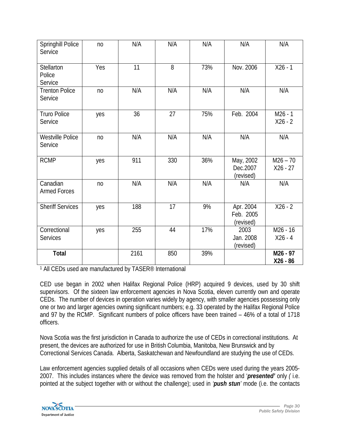| Springhill Police<br>Service     | n <sub>0</sub> | N/A  | N/A | N/A | N/A                                 | N/A                      |
|----------------------------------|----------------|------|-----|-----|-------------------------------------|--------------------------|
| Stellarton<br>Police<br>Service  | Yes            | 11   | 8   | 73% | Nov. 2006                           | $X26 - 1$                |
| <b>Trenton Police</b><br>Service | no             | N/A  | N/A | N/A | N/A                                 | N/A                      |
| <b>Truro Police</b><br>Service   | yes            | 36   | 27  | 75% | Feb. 2004                           | $M26 - 1$<br>$X26 - 2$   |
| Westville Police<br>Service      | no             | N/A  | N/A | N/A | N/A                                 | N/A                      |
| <b>RCMP</b>                      | yes            | 911  | 330 | 36% | May, 2002<br>Dec.2007<br>(revised)  | $M26 - 70$<br>$X26 - 27$ |
| Canadian<br><b>Armed Forces</b>  | no             | N/A  | N/A | N/A | N/A                                 | N/A                      |
| <b>Sheriff Services</b>          | yes            | 188  | 17  | 9%  | Apr. 2004<br>Feb. 2005<br>(revised) | $X26 - 2$                |
| Correctional<br><b>Services</b>  | yes            | 255  | 44  | 17% | 2003<br>Jan. 2008<br>(revised)      | M26 - 16<br>$X26 - 4$    |
| <b>Total</b>                     |                | 2161 | 850 | 39% |                                     | M26 - 97<br>$X26 - 86$   |

1 All CEDs used are manufactured by TASER® International

CED use began in 2002 when Halifax Regional Police (HRP) acquired 9 devices, used by 30 shift supervisors. Of the sixteen law enforcement agencies in Nova Scotia, eleven currently own and operate CEDs. The number of devices in operation varies widely by agency, with smaller agencies possessing only one or two and larger agencies owning significant numbers; e.g. 33 operated by the Halifax Regional Police and 97 by the RCMP. Significant numbers of police officers have been trained – 46% of a total of 1718 officers.

Nova Scotia was the first jurisdiction in Canada to authorize the use of CEDs in correctional institutions. At present, the devices are authorized for use in British Columbia, Manitoba, New Brunswick and by Correctional Services Canada. Alberta, Saskatchewan and Newfoundland are studying the use of CEDs.

Law enforcement agencies supplied details of all occasions when CEDs were used during the years 2005- 2007. This includes instances where the device was removed from the holster and '*presented'* only *(* i.e. pointed at the subject together with or without the challenge); used in *'push stun'* mode (i.e. the contacts

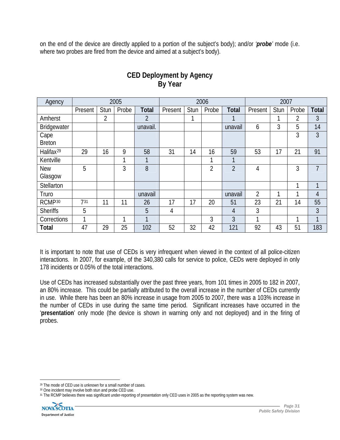on the end of the device are directly applied to a portion of the subject's body); and/or *'probe'* mode (i.e. where two probes are fired from the device and aimed at a subject's body).

| Agency                | 2005    |      |       |                | 2006    |      |       |                | 2007    |      |                |                |
|-----------------------|---------|------|-------|----------------|---------|------|-------|----------------|---------|------|----------------|----------------|
|                       | Present | Stun | Probe | <b>Total</b>   | Present | Stun | Probe | <b>Total</b>   | Present | Stun | Probe          | <b>Total</b>   |
| Amherst               |         | 2    |       | $\overline{2}$ |         | 1    |       |                |         |      | $\overline{2}$ | 3              |
| Bridgewater           |         |      |       | unavail.       |         |      |       | unavail        | 6       | 3    | 5              | 14             |
| Cape                  |         |      |       |                |         |      |       |                |         |      | 3              | 3              |
| <b>Breton</b>         |         |      |       |                |         |      |       |                |         |      |                |                |
| Halifax <sup>29</sup> | 29      | 16   | 9     | 58             | 31      | 14   | 16    | 59             | 53      | 17   | 21             | 91             |
| Kentville             |         |      | 1     | 1              |         |      | 1     | 1              |         |      |                |                |
| <b>New</b>            | 5       |      | 3     | 8              |         |      | 2     | $\overline{2}$ | 4       |      | 3              | $\overline{1}$ |
| Glasgow               |         |      |       |                |         |      |       |                |         |      |                |                |
| Stellarton            |         |      |       |                |         |      |       |                |         |      | 1              | 1              |
| Truro                 |         |      |       | unavail        |         |      |       | unavail        | 2       | 1    |                | 4              |
| RCMP <sub>30</sub>    | 731     | 11   | 11    | 26             | 17      | 17   | 20    | 51             | 23      | 21   | 14             | 55             |
| <b>Sheriffs</b>       | 5       |      |       | 5              | 4       |      |       | 4              | 3       |      |                | 3              |
| Corrections           | 1       |      | 1     | 1              |         |      | 3     | 3              |         |      | 1              |                |
| <b>Total</b>          | 47      | 29   | 25    | 102            | 52      | 32   | 42    | 121            | 92      | 43   | 51             | 183            |

# **CED Deployment by Agency By Year**

It is important to note that use of CEDs is very infrequent when viewed in the context of all police-citizen interactions. In 2007, for example, of the 340,380 calls for service to police, CEDs were deployed in only 178 incidents or 0.05% of the total interactions.

Use of CEDs has increased substantially over the past three years, from 101 times in 2005 to 182 in 2007, an 80% increase. This could be partially attributed to the overall increase in the number of CEDs currently in use. While there has been an 80% increase in usage from 2005 to 2007, there was a 103% increase in the number of CEDs in use during the same time period. Significant increases have occurred in the '**presentation**' only mode (the device is shown in warning only and not deployed) and in the firing of probes.

<span id="page-31-2"></span><span id="page-31-1"></span><sup>31</sup> The RCMP believes there was significant under-reporting of presentation only CED uses in 2005 as the reporting system was new.



 $\overline{a}$ 

<span id="page-31-0"></span><sup>&</sup>lt;sup>29</sup> The mode of CED use is unknown for a small number of cases.

<sup>30</sup> One incident may involve both stun and probe CED use.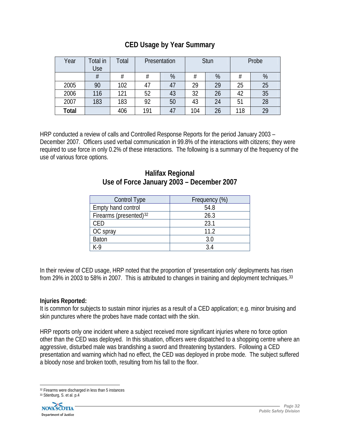| Year  | Total in<br>Use | Total | Presentation |    | <b>Stun</b> |    | Probe |    |
|-------|-----------------|-------|--------------|----|-------------|----|-------|----|
|       | #               | #     | #            | %  | #           | %  | #     | %  |
| 2005  | 90              | 102   | 4,           |    | 29          | 29 | 25    | 25 |
| 2006  | 116             | 121   | 52           | 43 | 32          | 26 | 42    | 35 |
| 2007  | 183             | 183   | 92           | 50 | 43          | 24 | 51    | 28 |
| Total |                 | 406   | 191          |    | 104         | 26 | 118   | 29 |

HRP conducted a review of calls and Controlled Response Reports for the period January 2003 – December 2007. Officers used verbal communication in 99.8% of the interactions with citizens; they were required to use force in only 0.2% of these interactions. The following is a summary of the frequency of the use of various force options.

# **Halifax Regional Use of Force January 2003 – December 2007**

| Control Type                       | Frequency (%) |  |  |  |
|------------------------------------|---------------|--|--|--|
| Empty hand control                 | 54.8          |  |  |  |
| Firearms (presented) <sup>32</sup> | 26.3          |  |  |  |
| CED                                | 23.1          |  |  |  |
| OC spray                           | 11.2          |  |  |  |
| <b>Baton</b>                       | 3.0           |  |  |  |
| K-9                                | 34            |  |  |  |

In their review of CED usage, HRP noted that the proportion of 'presentation only' deployments has risen from 29% in 2003 to 58% in 2007. This is attributed to changes in training and deployment techniques.<sup>[33](#page-32-1)</sup>

#### **Injuries Reported:**

It is common for subjects to sustain minor injuries as a result of a CED application; e.g. minor bruising and skin punctures where the probes have made contact with the skin.

HRP reports only one incident where a subject received more significant injuries where no force option other than the CED was deployed. In this situation, officers were dispatched to a shopping centre where an aggressive, disturbed male was brandishing a sword and threatening bystanders. Following a CED presentation and warning which had no effect, the CED was deployed in probe mode. The subject suffered a bloody nose and broken tooth, resulting from his fall to the floor.

<span id="page-32-1"></span><span id="page-32-0"></span><sup>33</sup> Stienburg, S. et al. p.4



 32 Firearms were discharged in less than 5 instances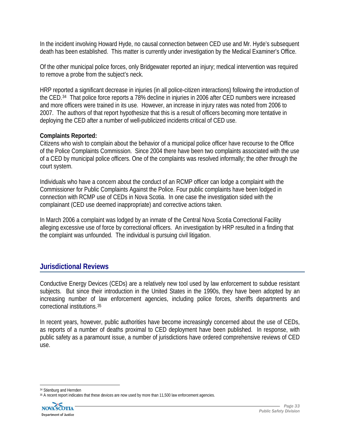In the incident involving Howard Hyde, no causal connection between CED use and Mr. Hyde's subsequent death has been established. This matter is currently under investigation by the Medical Examiner's Office.

Of the other municipal police forces, only Bridgewater reported an injury; medical intervention was required to remove a probe from the subject's neck.

HRP reported a significant decrease in injuries (in all police-citizen interactions) following the introduction of the CED.[34](#page-33-0) That police force reports a 78% decline in injuries in 2006 after CED numbers were increased and more officers were trained in its use. However, an increase in injury rates was noted from 2006 to 2007. The authors of that report hypothesize that this is a result of officers becoming more tentative in deploying the CED after a number of well-publicized incidents critical of CED use.

### **Complaints Reported:**

Citizens who wish to complain about the behavior of a municipal police officer have recourse to the Office of the Police Complaints Commission.Since 2004 there have been two complaints associated with the use of a CED by municipal police officers. One of the complaints was resolved informally; the other through the court system.

Individuals who have a concern about the conduct of an RCMP officer can lodge a complaint with the Commissioner for Public Complaints Against the Police. Four public complaints have been lodged in connection with RCMP use of CEDs in Nova Scotia. In one case the investigation sided with the complainant (CED use deemed inappropriate) and corrective actions taken.

In March 2006 a complaint was lodged by an inmate of the Central Nova Scotia Correctional Facility alleging excessive use of force by correctional officers. An investigation by HRP resulted in a finding that the complaint was unfounded. The individual is pursuing civil litigation.

# **Jurisdictional Reviews**

Conductive Energy Devices (CEDs) are a relatively new tool used by law enforcement to subdue resistant subjects. But since their introduction in the United States in the 1990s, they have been adopted by an increasing number of law enforcement agencies, including police forces, sheriffs departments and correctional institutions.[35](#page-33-1)

In recent years, however, public authorities have become increasingly concerned about the use of CEDs, as reports of a number of deaths proximal to CED deployment have been published. In response, with public safety as a paramount issue, a number of jurisdictions have ordered comprehensive reviews of CED use.

<span id="page-33-1"></span><span id="page-33-0"></span><sup>&</sup>lt;sup>35</sup> A recent report indicates that these devices are now used by more than 11,500 law enforcement agencies.



 34 Stienburg and Hernden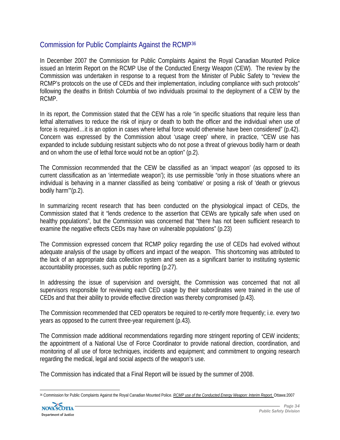# Commission for Public Complaints Against the RCMP[36](#page-34-0)

In December 2007 the Commission for Public Complaints Against the Royal Canadian Mounted Police issued an Interim Report on the RCMP Use of the Conducted Energy Weapon (CEW). The review by the Commission was undertaken in response to a request from the Minister of Public Safety to "review the RCMP's protocols on the use of CEDs and their implementation, including compliance with such protocols" following the deaths in British Columbia of two individuals proximal to the deployment of a CEW by the RCMP.

In its report, the Commission stated that the CEW has a role "in specific situations that require less than lethal alternatives to reduce the risk of injury or death to both the officer and the individual when use of force is required…it is an option in cases where lethal force would otherwise have been considered" (p.42). Concern was expressed by the Commission about 'usage creep' where, in practice, "CEW use has expanded to include subduing resistant subjects who do not pose a threat of grievous bodily harm or death and on whom the use of lethal force would not be an option" (p.2).

The Commission recommended that the CEW be classified as an 'impact weapon' (as opposed to its current classification as an 'intermediate weapon'); its use permissible "only in those situations where an individual is behaving in a manner classified as being 'combative' or posing a risk of 'death or grievous bodily harm'"(p.2).

In summarizing recent research that has been conducted on the physiological impact of CEDs, the Commission stated that it "lends credence to the assertion that CEWs are typically safe when used on healthy populations", but the Commission was concerned that "there has not been sufficient research to examine the negative effects CEDs may have on vulnerable populations" (p.23)

The Commission expressed concern that RCMP policy regarding the use of CEDs had evolved without adequate analysis of the usage by officers and impact of the weapon. This shortcoming was attributed to the lack of an appropriate data collection system and seen as a significant barrier to instituting systemic accountability processes, such as public reporting (p.27).

In addressing the issue of supervision and oversight, the Commission was concerned that not all supervisors responsible for reviewing each CED usage by their subordinates were trained in the use of CEDs and that their ability to provide effective direction was thereby compromised (p.43).

The Commission recommended that CED operators be required to re-certify more frequently; i.e. every two years as opposed to the current three-year requirement (p.43).

The Commission made additional recommendations regarding more stringent reporting of CEW incidents; the appointment of a National Use of Force Coordinator to provide national direction, coordination, and monitoring of all use of force techniques, incidents and equipment; and commitment to ongoing research regarding the medical, legal and social aspects of the weapon's use.

The Commission has indicated that a Final Report will be issued by the summer of 2008.

<span id="page-34-0"></span> 36 Commission for Public Complaints Against the Royal Canadian Mounted Police. *RCMP use of the Conducted Energy Weapon: Interim Report.* Ottawa:2007

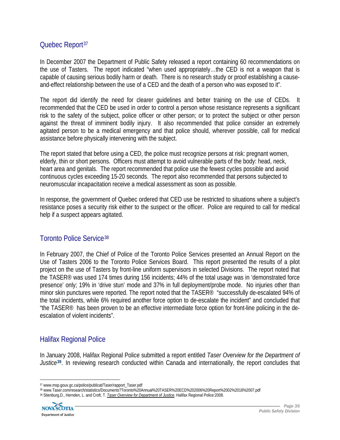# Quebec Report<sup>[37](#page-35-0)</sup>

In December 2007 the Department of Public Safety released a report containing 60 recommendations on the use of Tasters. The report indicated "when used appropriately…the CED is not a weapon that is capable of causing serious bodily harm or death. There is no research study or proof establishing a causeand-effect relationship between the use of a CED and the death of a person who was exposed to it".

The report did identify the need for clearer guidelines and better training on the use of CEDs. It recommended that the CED be used in order to control a person whose resistance represents a significant risk to the safety of the subject, police officer or other person; or to protect the subject or other person against the threat of imminent bodily injury. It also recommended that police consider an extremely agitated person to be a medical emergency and that police should, wherever possible, call for medical assistance before physically intervening with the subject.

The report stated that before using a CED, the police must recognize persons at risk: pregnant women, elderly, thin or short persons. Officers must attempt to avoid vulnerable parts of the body: head, neck, heart area and genitals. The report recommended that police use the fewest cycles possible and avoid continuous cycles exceeding 15-20 seconds. The report also recommended that persons subjected to neuromuscular incapacitation receive a medical assessment as soon as possible.

In response, the government of Quebec ordered that CED use be restricted to situations where a subject's resistance poses a security risk either to the suspect or the officer. Police are required to call for medical help if a suspect appears agitated.

# Toronto Police Service[38](#page-35-1)

In February 2007, the Chief of Police of the Toronto Police Services presented an Annual Report on the Use of Tasters 2006 to the Toronto Police Services Board. This report presented the results of a pilot project on the use of Tasters by front-line uniform supervisors in selected Divisions. The report noted that the TASER® was used 174 times during 156 incidents; 44% of the total usage was in 'demonstrated force presence' only; 19% in 'drive stun' mode and 37% in full deployment/probe mode. No injuries other than minor skin punctures were reported. The report noted that the TASER® "successfully de-escalated 94% of the total incidents, while 6% required another force option to de-escalate the incident" and concluded that "the TASER® has been proven to be an effective intermediate force option for front-line policing in the deescalation of violent incidents".

# Halifax Regional Police

In January 2008, Halifax Regional Police submitted a report entitled *Taser Overview for the Department of Justice***[39](#page-35-2)***.* In reviewing research conducted within Canada and internationally, the report concludes that

<span id="page-35-2"></span><span id="page-35-1"></span><sup>39</sup> Stienburg,D., Hernden, L. and Croft, T. *Taser Overview for Department of Justice*. Halifax Regional Police:2008.



 $\overline{a}$ 

<span id="page-35-0"></span><sup>&</sup>lt;sup>37</sup> www.msp.gouv.gc.ca/police/publicat/Taser/rapport\_Taser.pdf<br><sup>38</sup> www.Taser.com/research/statistics/Documents?Toronto%20Annual%20TASER%20ECD%202006%20Report%2002%2018%2007.pdf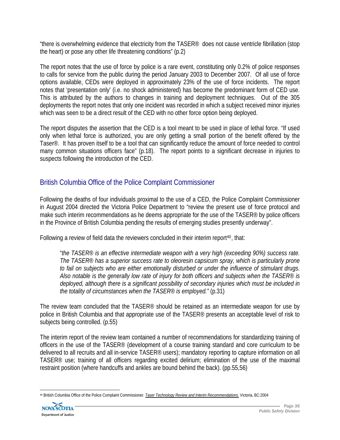"there is overwhelming evidence that electricity from the TASER® does not cause ventricle fibrillation (stop the heart) or pose any other life threatening conditions" (p.2)

The report notes that the use of force by police is a rare event, constituting only 0.2% of police responses to calls for service from the public during the period January 2003 to December 2007. Of all use of force options available, CEDs were deployed in approximately 23% of the use of force incidents. The report notes that 'presentation only' (i.e. no shock administered) has become the predominant form of CED use. This is attributed by the authors to changes in training and deployment techniques. Out of the 305 deployments the report notes that only one incident was recorded in which a subject received minor injuries which was seen to be a direct result of the CED with no other force option being deployed.

The report disputes the assertion that the CED is a tool meant to be used in place of lethal force. "If used only when lethal force is authorized, you are only getting a small portion of the benefit offered by the Taser®. It has proven itself to be a tool that can significantly reduce the amount of force needed to control many common situations officers face" (p.18). The report points to a significant decrease in injuries to suspects following the introduction of the CED.

# British Columbia Office of the Police Complaint Commissioner

Following the deaths of four individuals proximal to the use of a CED, the Police Complaint Commissioner in August 2004 directed the Victoria Police Department to "review the present use of force protocol and make such interim recommendations as he deems appropriate for the use of the TASER<sup>®</sup> by police officers in the Province of British Columbia pending the results of emerging studies presently underway".

Following a review of field data the reviewers concluded in their interim report<sup>[40](#page-36-0)</sup>, that:

"*the TASER*® *is an effective intermediate weapon with a very high (exceeding 90%) success rate. The TASER*® *has a superior success rate to oleoresin capsicum spray, which is particularly prone to fail on subjects who are either emotionally disturbed or under the influence of stimulant drugs. Also notable is the generally low rate of injury for both officers and subjects when the TASER*® *is deployed, although there is a significant possibility of secondary injuries which must be included in the totality of circumstances when the TASER*® *is employed."* (p.31)

The review team concluded that the TASER® should be retained as an intermediate weapon for use by police in British Columbia and that appropriate use of the TASER® presents an acceptable level of risk to subjects being controlled. (p.55)

The interim report of the review team contained a number of recommendations for standardizing training of officers in the use of the TASER® (development of a course training standard and core curriculum to be delivered to all recruits and all in-service TASER® users); mandatory reporting to capture information on all TASER® use; training of all officers regarding excited delirium; elimination of the use of the maximal restraint position (where handcuffs and ankles are bound behind the back). (pp.55,56)

<span id="page-36-0"></span> 40 British Columbia Office of the Police Complaint Commissioner. *Taser Technology Review and Interim Recommendations.* Victoria, BC:2004

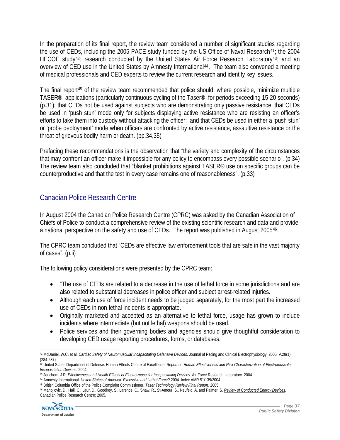In the preparation of its final report, the review team considered a number of significant studies regarding the use of CEDs, including the 2005 PACE study funded by the US Office of Naval Research<sup>[41](#page-37-0)</sup>; the 2004 HECOE study<sup>[42](#page-37-1)</sup>; research conducted by the United States Air Force Research Laboratory<sup>[43](#page-37-2)</sup>; and an overview of CED use in the United States by Amnesty International<sup>[44](#page-37-3)</sup>. The team also convened a meeting of medical professionals and CED experts to review the current research and identify key issues.

The final report[45](#page-37-4) of the review team recommended that police should, where possible, minimize multiple TASER® applications (particularly continuous cycling of the Taser® for periods exceeding 15-20 seconds) (p.31); that CEDs not be used against subjects who are demonstrating only passive resistance; that CEDs be used in 'push stun' mode only for subjects displaying active resistance who are resisting an officer's efforts to take them into custody without attacking the officer; and that CEDs be used in either a 'push stun' or 'probe deployment' mode when officers are confronted by active resistance, assaultive resistance or the threat of grievous bodily harm or death. (pp.34,35)

Prefacing these recommendations is the observation that "the variety and complexity of the circumstances that may confront an officer make it impossible for any policy to encompass every possible scenario". (p.34) The review team also concluded that "blanket prohibitions against TASER® use on specific groups can be counterproductive and that the test in every case remains one of reasonableness". (p.33)

# Canadian Police Research Centre

In August 2004 the Canadian Police Research Centre (CPRC) was asked by the Canadian Association of Chiefs of Police to conduct a comprehensive review of the existing scientific research and data and provide a national perspective on the safety and use of CEDs. The report was published in August 2005[46](#page-37-5).

The CPRC team concluded that "CEDs are effective law enforcement tools that are safe in the vast majority of cases". (p.ii)

The following policy considerations were presented by the CPRC team:

- "The use of CEDs are related to a decrease in the use of lethal force in some jurisdictions and are also related to substantial decreases in police officer and subject arrest-related injuries.
- Although each use of force incident needs to be judged separately, for the most part the increased use of CEDs in non-lethal incidents is appropriate.
- Originally marketed and accepted as an alternative to lethal force, usage has grown to include incidents where intermediate (but not lethal) weapons should be used.
- Police services and their governing bodies and agencies should give thoughtful consideration to developing CED usage reporting procedures, forms, or databases.

<span id="page-37-5"></span><span id="page-37-4"></span><span id="page-37-3"></span><sup>46</sup> Manojlovic, D., Hall, C., Laur, D., Goodkey, S., Larence, C., Shaw, R., St-Amour, S., Neufeld, A. and Palmer, S. *Review of Conducted Energy Devices*. Canadian Police Research Centre: 2005.



<span id="page-37-0"></span> $\overline{a}$ 41 McDaniel, W.C. et al. *Cardiac Safety of Neuromuscular Incapacitating Defensive Devices*. Journal of Pacing and Clinical Electrophysiology. 2005. V.28(1) (284-287)

<span id="page-37-1"></span><sup>42</sup> United States Department of Defense. Human Effects Centre of Excellence. *Report on Human Effectiveness and Risk Characterization of Electromuscular* Incapacitation Devices. 2004

<span id="page-37-2"></span><sup>43</sup> Jauchem, J.R. Effectiveness and Health Effects of Electro-muscular Incapacitating Devices. Air Force Research Laboratory. 2004.<br>44 Amnesty International. United States of America. Excessive and Lethal Force? 2004. Index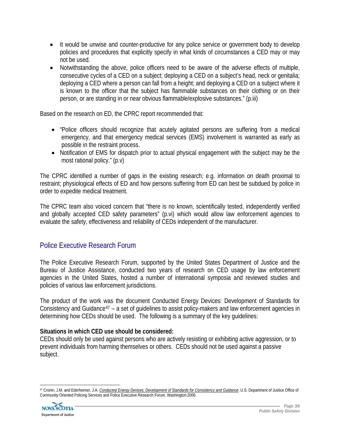- It would be unwise and counter-productive for any police service or government body to develop policies and procedures that explicitly specify in what kinds of circumstances a CED may or may not be used.
- Notwithstanding the above, police officers need to be aware of the adverse effects of multiple, consecutive cycles of a CED on a subject; deploying a CED on a subject's head, neck or genitalia; deploying a CED where a person can fall from a height; and deploying a CED on a subject where it is known to the officer that the subject has flammable substances on their clothing or on their person, or are standing in or near obvious flammable/explosive substances." (p.iii)

Based on the research on ED, the CPRC report recommended that:

- "Police officers should recognize that acutely agitated persons are suffering from a medical emergency, and that emergency medical services (EMS) involvement is warranted as early as possible in the restraint process.
- Notification of EMS for dispatch prior to actual physical engagement with the subject may be the most rational policy." (p.v)

The CPRC identified a number of gaps in the existing research; e.g. information on death proximal to restraint; physiological effects of ED and how persons suffering from ED can best be subdued by police in order to expedite medical treatment.

The CPRC team also voiced concern that "there is no known, scientifically tested, independently verified and globally accepted CED safety parameters" (p.vi) which would allow law enforcement agencies to evaluate the safety, effectiveness and reliability of CEDs independent of the manufacturer.

# Police Executive Research Forum

The Police Executive Research Forum, supported by the United States Department of Justice and the Bureau of Justice Assistance, conducted two years of research on CED usage by law enforcement agencies in the United States, hosted a number of international symposia and reviewed studies and policies of various law enforcement jurisdictions.

The product of the work was the document Conducted Energy Devices: Development of Standards for Consistency and Guidance<sup>[47](#page-38-0)</sup> – a set of guidelines to assist policy-makers and law enforcement agencies in determining how CEDs should be used. The following is a summary of the key guidelines:

#### **Situations in which CED use should be considered:**

CEDs should only be used against persons who are actively resisting or exhibiting active aggression, or to prevent individuals from harming themselves or others. CEDs should not be used against a passive subject.

<span id="page-38-0"></span> 47 Cronin, J.M. and Ederheimer, J.A. *Conducted Energy Devices: Development of Standards for Consistency and Guidance*. U.S. Department of Justice Office of Community Oriented Policing Services and Police Executive Research Forum. Washington:2006.

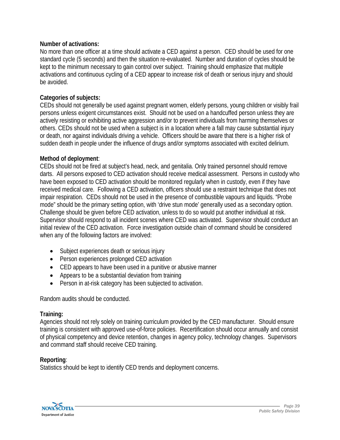#### **Number of activations:**

No more than one officer at a time should activate a CED against a person. CED should be used for one standard cycle (5 seconds) and then the situation re-evaluated. Number and duration of cycles should be kept to the minimum necessary to gain control over subject. Training should emphasize that multiple activations and continuous cycling of a CED appear to increase risk of death or serious injury and should be avoided.

#### **Categories of subjects:**

CEDs should not generally be used against pregnant women, elderly persons, young children or visibly frail persons unless exigent circumstances exist. Should not be used on a handcuffed person unless they are actively resisting or exhibiting active aggression and/or to prevent individuals from harming themselves or others. CEDs should not be used when a subject is in a location where a fall may cause substantial injury or death, nor against individuals driving a vehicle. Officers should be aware that there is a higher risk of sudden death in people under the influence of drugs and/or symptoms associated with excited delirium.

#### **Method of deployment**:

CEDs should not be fired at subject's head, neck, and genitalia. Only trained personnel should remove darts. All persons exposed to CED activation should receive medical assessment. Persons in custody who have been exposed to CED activation should be monitored regularly when in custody, even if they have received medical care. Following a CED activation, officers should use a restraint technique that does not impair respiration. CEDs should not be used in the presence of combustible vapours and liquids. "Probe mode" should be the primary setting option, with 'drive stun mode' generally used as a secondary option. Challenge should be given before CED activation, unless to do so would put another individual at risk. Supervisor should respond to all incident scenes where CED was activated. Supervisor should conduct an initial review of the CED activation. Force investigation outside chain of command should be considered when any of the following factors are involved:

- Subject experiences death or serious injury
- Person experiences prolonged CED activation
- CED appears to have been used in a punitive or abusive manner
- Appears to be a substantial deviation from training
- Person in at-risk category has been subjected to activation.

Random audits should be conducted.

#### **Training:**

Agencies should not rely solely on training curriculum provided by the CED manufacturer. Should ensure training is consistent with approved use-of-force policies. Recertification should occur annually and consist of physical competency and device retention, changes in agency policy, technology changes. Supervisors and command staff should receive CED training.

#### **Reporting**:

Statistics should be kept to identify CED trends and deployment concerns.

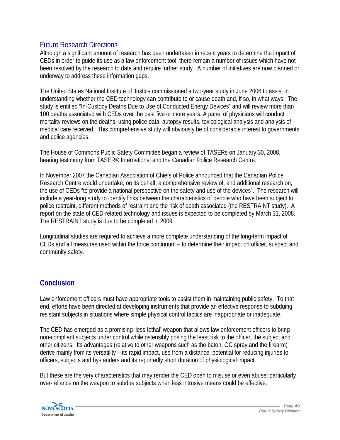### Future Research Directions

Although a significant amount of research has been undertaken in recent years to determine the impact of CEDs in order to guide its use as a law enforcement tool, there remain a number of issues which have not been resolved by the research to date and require further study. A number of initiatives are now planned or underway to address these information gaps.

The United States National Institute of Justice commissioned a two-year study in June 2006 to assist in understanding whether the CED technology can contribute to or cause death and, if so, in what ways. The study is entitled "In-Custody Deaths Due to Use of Conducted Energy Devices" and will review more than 100 deaths associated with CEDs over the past five or more years. A panel of physicians will conduct mortality reviews on the deaths, using police data, autopsy results, toxicological analysis and analysis of medical care received. This comprehensive study will obviously be of considerable interest to governments and police agencies.

The House of Commons Public Safety Committee began a review of TASERs on January 30, 2008, hearing testimony from TASER® International and the Canadian Police Research Centre.

In November 2007 the Canadian Association of Chiefs of Police announced that the Canadian Police Research Centre would undertake, on its behalf, a comprehensive review of, and additional research on, the use of CEDs "to provide a national perspective on the safety and use of the devices". The research will include a year-long study to identify links between the characteristics of people who have been subject to police restraint, different methods of restraint and the risk of death associated (the RESTRAINT study). A report on the state of CED-related technology and issues is expected to be completed by March 31, 2008. The RESTRAINT study is due to be completed in 2009.

Longitudinal studies are required to achieve a more complete understanding of the long-term impact of CEDs and all measures used within the force continuum – to determine their impact on officer, suspect and community safety.

# **Conclusion**

Law enforcement officers must have appropriate tools to assist them in maintaining public safety. To that end, efforts have been directed at developing instruments that provide an effective response to subduing resistant subjects in situations where simple physical control tactics are inappropriate or inadequate.

The CED has emerged as a promising 'less-lethal' weapon that allows law enforcement officers to bring non-compliant subjects under control while ostensibly posing the least risk to the officer, the subject and other citizens. Its advantages (relative to other weapons such as the baton, OC spray and the firearm) derive mainly from its versatility – its rapid impact, use from a distance, potential for reducing injuries to officers, subjects and bystanders and its reportedly short duration of physiological impact.

But these are the very characteristics that may render the CED open to misuse or even abuse: particularly over-reliance on the weapon to subdue subjects when less intrusive means could be effective.